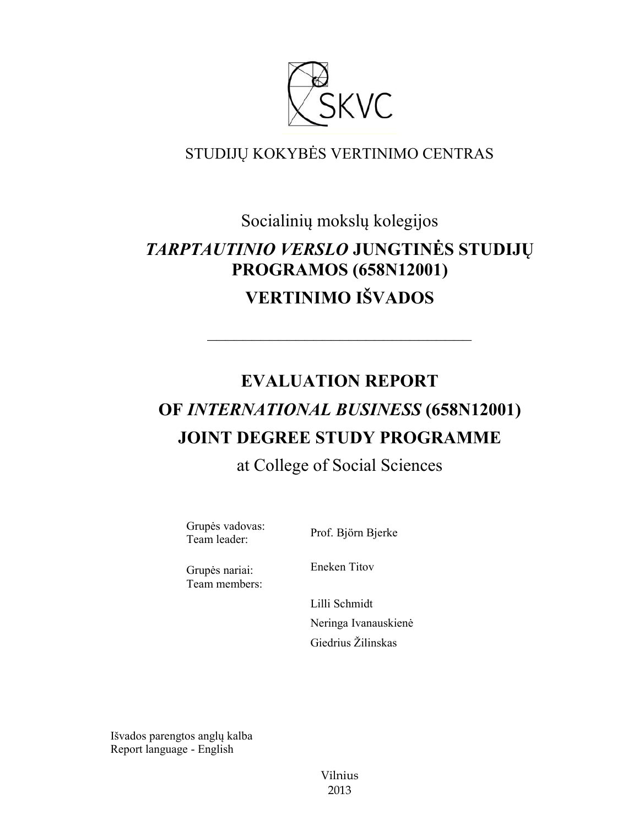

# STUDIJŲ KOKYBĖS VERTINIMO CENTRAS

Socialinių mokslų kolegijos *TARPTAUTINIO VERSLO* **JUNGTINĖS STUDIJŲ PROGRAMOS (658N12001) VERTINIMO IŠVADOS**

# **EVALUATION REPORT OF** *INTERNATIONAL BUSINESS* **(658N12001) JOINT DEGREE STUDY PROGRAMME**

––––––––––––––––––––––––––––––

# at College of Social Sciences

Grupės vadovas: Team leader: Prof. Björn Bjerke

Grupės nariai: Team members: Eneken Titov

Lilli Schmidt Neringa Ivanauskienė Giedrius Žilinskas

Išvados parengtos anglų kalba Report language - English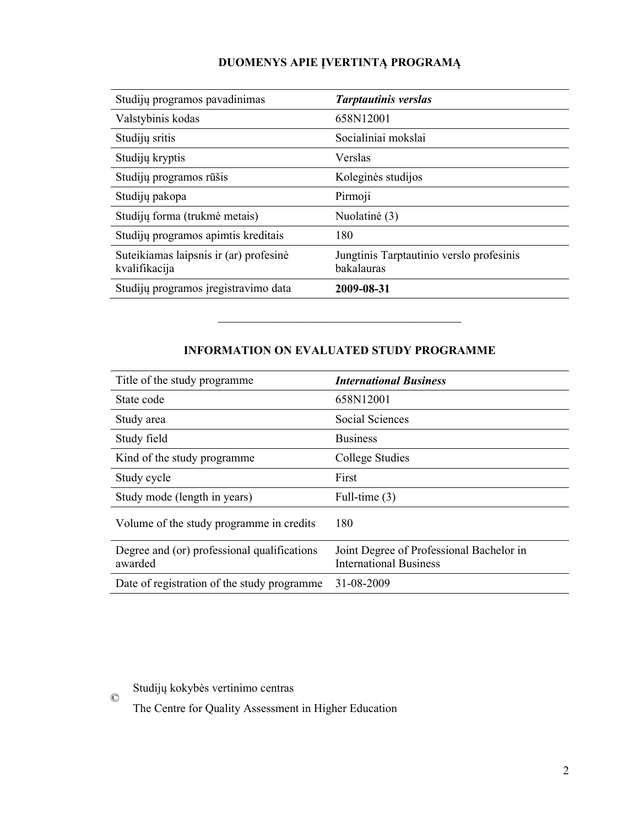## **DUOMENYS APIE ĮVERTINTĄ PROGRAMĄ**

| Studijų programos pavadinimas                           | <b>Tarptautinis verslas</b>                            |
|---------------------------------------------------------|--------------------------------------------------------|
| Valstybinis kodas                                       | 658N12001                                              |
| Studijų sritis                                          | Socialiniai mokslai                                    |
| Studijų kryptis                                         | Verslas                                                |
| Studijų programos rūšis                                 | Koleginės studijos                                     |
| Studijų pakopa                                          | Pirmoji                                                |
| Studijų forma (trukmė metais)                           | Nuolatinė (3)                                          |
| Studijų programos apimtis kreditais                     | 180                                                    |
| Suteikiamas laipsnis ir (ar) profesinė<br>kvalifikacija | Jungtinis Tarptautinio verslo profesinis<br>bakalauras |
| Studijų programos įregistravimo data                    | 2009-08-31                                             |

### **INFORMATION ON EVALUATED STUDY PROGRAMME**

–––––––––––––––––––––––––––––––

| Title of the study programme                           | <b>International Business</b>                                             |
|--------------------------------------------------------|---------------------------------------------------------------------------|
| State code                                             | 658N12001                                                                 |
| Study area                                             | Social Sciences                                                           |
| Study field                                            | <b>Business</b>                                                           |
| Kind of the study programme                            | College Studies                                                           |
| Study cycle                                            | First                                                                     |
| Study mode (length in years)                           | Full-time $(3)$                                                           |
| Volume of the study programme in credits               | 180                                                                       |
| Degree and (or) professional qualifications<br>awarded | Joint Degree of Professional Bachelor in<br><b>International Business</b> |
| Date of registration of the study programme.           | 31-08-2009                                                                |

Studijų kokybės vertinimo centras

©

The Centre for Quality Assessment in Higher Education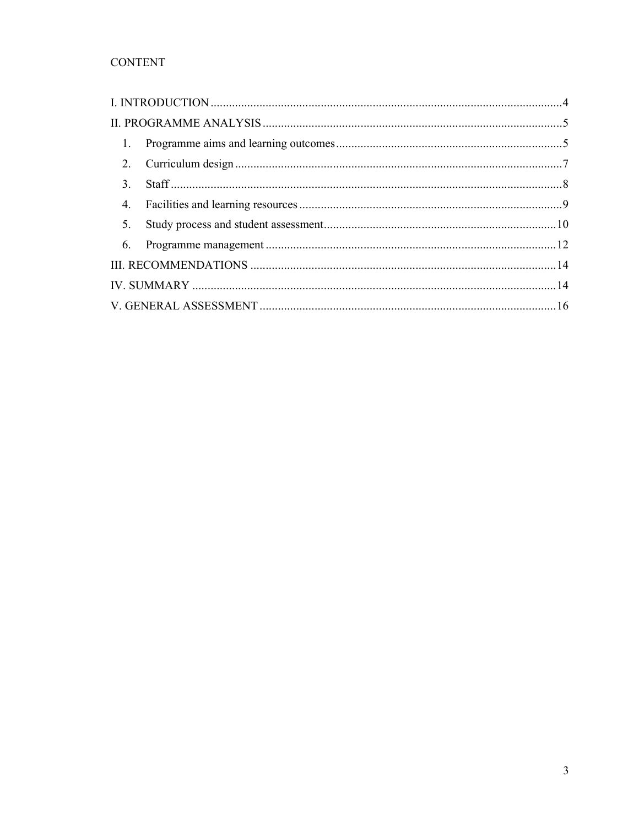## **CONTENT**

| $\mathbf{1}$ . |  |
|----------------|--|
| $2_{\cdot}$    |  |
| $\mathbf{3}$ . |  |
| 4.             |  |
| 5.             |  |
| 6.             |  |
|                |  |
|                |  |
|                |  |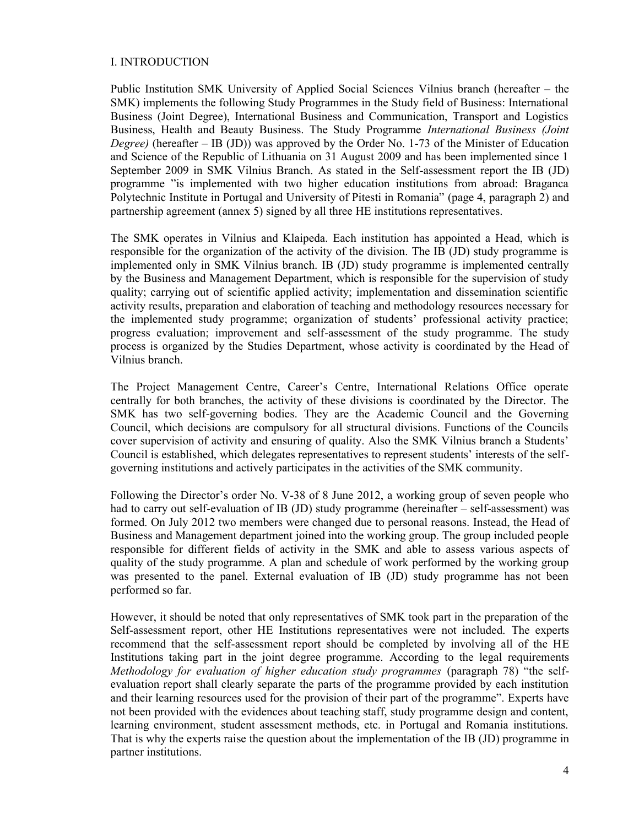#### I. INTRODUCTION

Public Institution SMK University of Applied Social Sciences Vilnius branch (hereafter – the SMK) implements the following Study Programmes in the Study field of Business: International Business (Joint Degree), International Business and Communication, Transport and Logistics Business, Health and Beauty Business. The Study Programme *International Business (Joint Degree)* (hereafter – IB (JD)) was approved by the Order No. 1-73 of the Minister of Education and Science of the Republic of Lithuania on 31 August 2009 and has been implemented since 1 September 2009 in SMK Vilnius Branch. As stated in the Self-assessment report the IB (JD) programme "is implemented with two higher education institutions from abroad: Braganca Polytechnic Institute in Portugal and University of Pitesti in Romania" (page 4, paragraph 2) and partnership agreement (annex 5) signed by all three HE institutions representatives.

The SMK operates in Vilnius and Klaipeda. Each institution has appointed a Head, which is responsible for the organization of the activity of the division. The IB (JD) study programme is implemented only in SMK Vilnius branch. IB (JD) study programme is implemented centrally by the Business and Management Department, which is responsible for the supervision of study quality; carrying out of scientific applied activity; implementation and dissemination scientific activity results, preparation and elaboration of teaching and methodology resources necessary for the implemented study programme; organization of students' professional activity practice; progress evaluation; improvement and self-assessment of the study programme. The study process is organized by the Studies Department, whose activity is coordinated by the Head of Vilnius branch.

The Project Management Centre, Career's Centre, International Relations Office operate centrally for both branches, the activity of these divisions is coordinated by the Director. The SMK has two self-governing bodies. They are the Academic Council and the Governing Council, which decisions are compulsory for all structural divisions. Functions of the Councils cover supervision of activity and ensuring of quality. Also the SMK Vilnius branch a Students' Council is established, which delegates representatives to represent students' interests of the selfgoverning institutions and actively participates in the activities of the SMK community.

Following the Director's order No. V-38 of 8 June 2012, a working group of seven people who had to carry out self-evaluation of IB (JD) study programme (hereinafter – self-assessment) was formed. On July 2012 two members were changed due to personal reasons. Instead, the Head of Business and Management department joined into the working group. The group included people responsible for different fields of activity in the SMK and able to assess various aspects of quality of the study programme. A plan and schedule of work performed by the working group was presented to the panel. External evaluation of IB (JD) study programme has not been performed so far.

However, it should be noted that only representatives of SMK took part in the preparation of the Self-assessment report, other HE Institutions representatives were not included. The experts recommend that the self-assessment report should be completed by involving all of the HE Institutions taking part in the joint degree programme. According to the legal requirements *Methodology for evaluation of higher education study programmes* (paragraph 78) "the selfevaluation report shall clearly separate the parts of the programme provided by each institution and their learning resources used for the provision of their part of the programme". Experts have not been provided with the evidences about teaching staff, study programme design and content, learning environment, student assessment methods, etc. in Portugal and Romania institutions. That is why the experts raise the question about the implementation of the IB (JD) programme in partner institutions.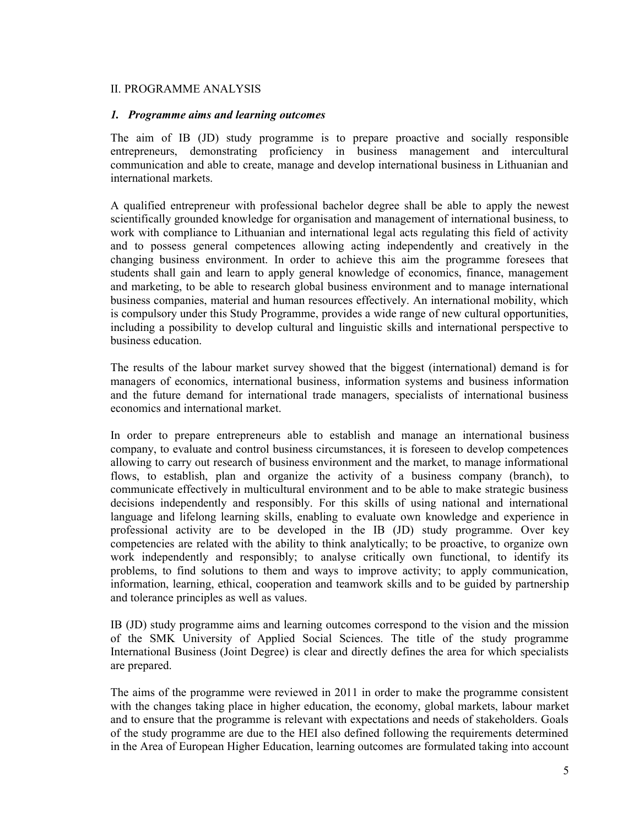#### II. PROGRAMME ANALYSIS

#### *1. Programme aims and learning outcomes*

The aim of IB (JD) study programme is to prepare proactive and socially responsible entrepreneurs, demonstrating proficiency in business management and intercultural communication and able to create, manage and develop international business in Lithuanian and international markets.

A qualified entrepreneur with professional bachelor degree shall be able to apply the newest scientifically grounded knowledge for organisation and management of international business, to work with compliance to Lithuanian and international legal acts regulating this field of activity and to possess general competences allowing acting independently and creatively in the changing business environment. In order to achieve this aim the programme foresees that students shall gain and learn to apply general knowledge of economics, finance, management and marketing, to be able to research global business environment and to manage international business companies, material and human resources effectively. An international mobility, which is compulsory under this Study Programme, provides a wide range of new cultural opportunities, including a possibility to develop cultural and linguistic skills and international perspective to business education.

The results of the labour market survey showed that the biggest (international) demand is for managers of economics, international business, information systems and business information and the future demand for international trade managers, specialists of international business economics and international market.

In order to prepare entrepreneurs able to establish and manage an international business company, to evaluate and control business circumstances, it is foreseen to develop competences allowing to carry out research of business environment and the market, to manage informational flows, to establish, plan and organize the activity of a business company (branch), to communicate effectively in multicultural environment and to be able to make strategic business decisions independently and responsibly. For this skills of using national and international language and lifelong learning skills, enabling to evaluate own knowledge and experience in professional activity are to be developed in the IB (JD) study programme. Over key competencies are related with the ability to think analytically; to be proactive, to organize own work independently and responsibly; to analyse critically own functional, to identify its problems, to find solutions to them and ways to improve activity; to apply communication, information, learning, ethical, cooperation and teamwork skills and to be guided by partnership and tolerance principles as well as values.

IB (JD) study programme aims and learning outcomes correspond to the vision and the mission of the SMK University of Applied Social Sciences. The title of the study programme International Business (Joint Degree) is clear and directly defines the area for which specialists are prepared.

The aims of the programme were reviewed in 2011 in order to make the programme consistent with the changes taking place in higher education, the economy, global markets, labour market and to ensure that the programme is relevant with expectations and needs of stakeholders. Goals of the study programme are due to the HEI also defined following the requirements determined in the Area of European Higher Education, learning outcomes are formulated taking into account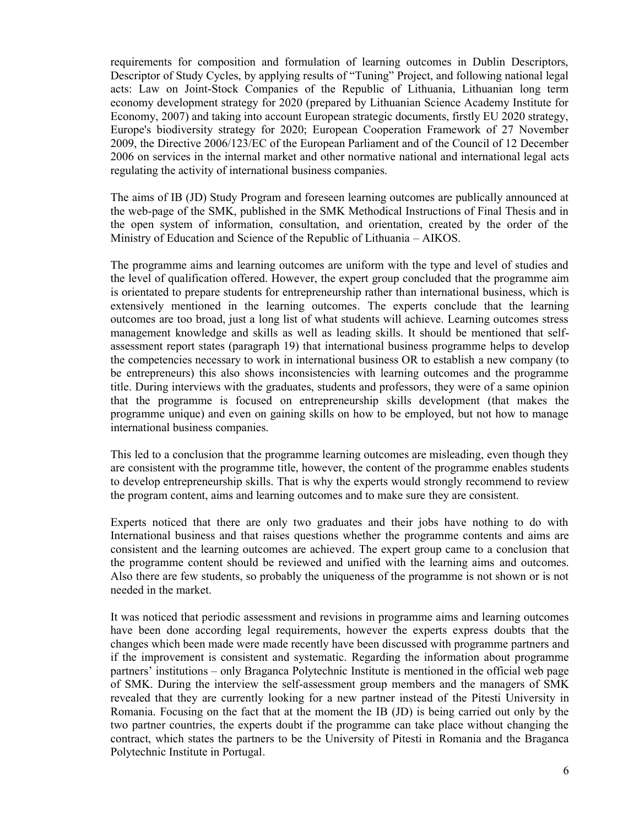requirements for composition and formulation of learning outcomes in Dublin Descriptors, Descriptor of Study Cycles, by applying results of "Tuning" Project, and following national legal acts: Law on Joint-Stock Companies of the Republic of Lithuania, Lithuanian long term economy development strategy for 2020 (prepared by Lithuanian Science Academy Institute for Economy, 2007) and taking into account European strategic documents, firstly EU 2020 strategy, Europe's biodiversity strategy for 2020; European Cooperation Framework of 27 November 2009, the Directive 2006/123/EC of the European Parliament and of the Council of 12 December 2006 on services in the internal market and other normative national and international legal acts regulating the activity of international business companies.

The aims of IB (JD) Study Program and foreseen learning outcomes are publically announced at the web-page of the SMK, published in the SMK Methodical Instructions of Final Thesis and in the open system of information, consultation, and orientation, created by the order of the Ministry of Education and Science of the Republic of Lithuania – AIKOS.

The programme aims and learning outcomes are uniform with the type and level of studies and the level of qualification offered. However, the expert group concluded that the programme aim is orientated to prepare students for entrepreneurship rather than international business, which is extensively mentioned in the learning outcomes. The experts conclude that the learning outcomes are too broad, just a long list of what students will achieve. Learning outcomes stress management knowledge and skills as well as leading skills. It should be mentioned that selfassessment report states (paragraph 19) that international business programme helps to develop the competencies necessary to work in international business OR to establish a new company (to be entrepreneurs) this also shows inconsistencies with learning outcomes and the programme title. During interviews with the graduates, students and professors, they were of a same opinion that the programme is focused on entrepreneurship skills development (that makes the programme unique) and even on gaining skills on how to be employed, but not how to manage international business companies.

This led to a conclusion that the programme learning outcomes are misleading, even though they are consistent with the programme title, however, the content of the programme enables students to develop entrepreneurship skills. That is why the experts would strongly recommend to review the program content, aims and learning outcomes and to make sure they are consistent.

Experts noticed that there are only two graduates and their jobs have nothing to do with International business and that raises questions whether the programme contents and aims are consistent and the learning outcomes are achieved. The expert group came to a conclusion that the programme content should be reviewed and unified with the learning aims and outcomes. Also there are few students, so probably the uniqueness of the programme is not shown or is not needed in the market.

It was noticed that periodic assessment and revisions in programme aims and learning outcomes have been done according legal requirements, however the experts express doubts that the changes which been made were made recently have been discussed with programme partners and if the improvement is consistent and systematic. Regarding the information about programme partners' institutions – only Braganca Polytechnic Institute is mentioned in the official web page of SMK. During the interview the self-assessment group members and the managers of SMK revealed that they are currently looking for a new partner instead of the Pitesti University in Romania. Focusing on the fact that at the moment the IB (JD) is being carried out only by the two partner countries, the experts doubt if the programme can take place without changing the contract, which states the partners to be the University of Pitesti in Romania and the Braganca Polytechnic Institute in Portugal.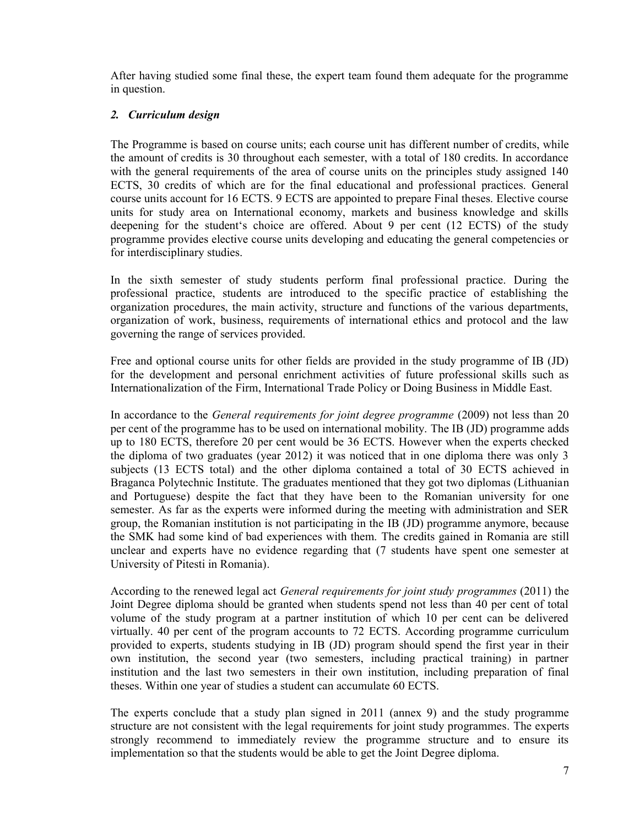After having studied some final these, the expert team found them adequate for the programme in question.

#### *2. Curriculum design*

The Programme is based on course units; each course unit has different number of credits, while the amount of credits is 30 throughout each semester, with a total of 180 credits. In accordance with the general requirements of the area of course units on the principles study assigned 140 ECTS, 30 credits of which are for the final educational and professional practices. General course units account for 16 ECTS. 9 ECTS are appointed to prepare Final theses. Elective course units for study area on International economy, markets and business knowledge and skills deepening for the student's choice are offered. About 9 per cent (12 ECTS) of the study programme provides elective course units developing and educating the general competencies or for interdisciplinary studies.

In the sixth semester of study students perform final professional practice. During the professional practice, students are introduced to the specific practice of establishing the organization procedures, the main activity, structure and functions of the various departments, organization of work, business, requirements of international ethics and protocol and the law governing the range of services provided.

Free and optional course units for other fields are provided in the study programme of IB (JD) for the development and personal enrichment activities of future professional skills such as Internationalization of the Firm, International Trade Policy or Doing Business in Middle East.

In accordance to the *General requirements for joint degree programme* (2009) not less than 20 per cent of the programme has to be used on international mobility. The IB (JD) programme adds up to 180 ECTS, therefore 20 per cent would be 36 ECTS. However when the experts checked the diploma of two graduates (year 2012) it was noticed that in one diploma there was only 3 subjects (13 ECTS total) and the other diploma contained a total of 30 ECTS achieved in Braganca Polytechnic Institute. The graduates mentioned that they got two diplomas (Lithuanian and Portuguese) despite the fact that they have been to the Romanian university for one semester. As far as the experts were informed during the meeting with administration and SER group, the Romanian institution is not participating in the IB (JD) programme anymore, because the SMK had some kind of bad experiences with them. The credits gained in Romania are still unclear and experts have no evidence regarding that (7 students have spent one semester at University of Pitesti in Romania).

According to the renewed legal act *General requirements for joint study programmes* (2011) the Joint Degree diploma should be granted when students spend not less than 40 per cent of total volume of the study program at a partner institution of which 10 per cent can be delivered virtually. 40 per cent of the program accounts to 72 ECTS. According programme curriculum provided to experts, students studying in IB (JD) program should spend the first year in their own institution, the second year (two semesters, including practical training) in partner institution and the last two semesters in their own institution, including preparation of final theses. Within one year of studies a student can accumulate 60 ECTS.

The experts conclude that a study plan signed in 2011 (annex 9) and the study programme structure are not consistent with the legal requirements for joint study programmes. The experts strongly recommend to immediately review the programme structure and to ensure its implementation so that the students would be able to get the Joint Degree diploma.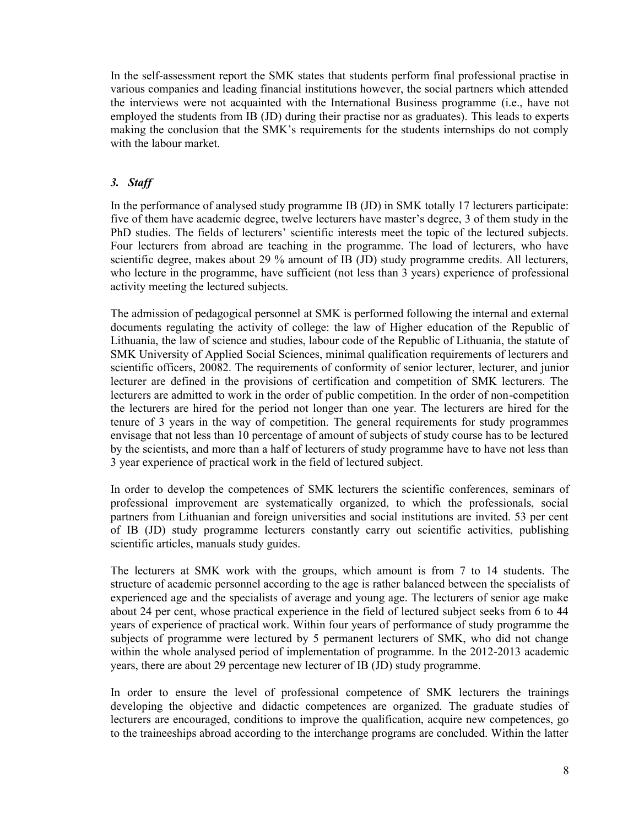In the self-assessment report the SMK states that students perform final professional practise in various companies and leading financial institutions however, the social partners which attended the interviews were not acquainted with the International Business programme (i.e., have not employed the students from IB (JD) during their practise nor as graduates). This leads to experts making the conclusion that the SMK's requirements for the students internships do not comply with the labour market.

#### *3. Staff*

In the performance of analysed study programme IB (JD) in SMK totally 17 lecturers participate: five of them have academic degree, twelve lecturers have master's degree, 3 of them study in the PhD studies. The fields of lecturers' scientific interests meet the topic of the lectured subjects. Four lecturers from abroad are teaching in the programme. The load of lecturers, who have scientific degree, makes about 29 % amount of IB (JD) study programme credits. All lecturers, who lecture in the programme, have sufficient (not less than 3 years) experience of professional activity meeting the lectured subjects.

The admission of pedagogical personnel at SMK is performed following the internal and external documents regulating the activity of college: the law of Higher education of the Republic of Lithuania, the law of science and studies, labour code of the Republic of Lithuania, the statute of SMK University of Applied Social Sciences, minimal qualification requirements of lecturers and scientific officers, 20082. The requirements of conformity of senior lecturer, lecturer, and junior lecturer are defined in the provisions of certification and competition of SMK lecturers. The lecturers are admitted to work in the order of public competition. In the order of non-competition the lecturers are hired for the period not longer than one year. The lecturers are hired for the tenure of 3 years in the way of competition. The general requirements for study programmes envisage that not less than 10 percentage of amount of subjects of study course has to be lectured by the scientists, and more than a half of lecturers of study programme have to have not less than 3 year experience of practical work in the field of lectured subject.

In order to develop the competences of SMK lecturers the scientific conferences, seminars of professional improvement are systematically organized, to which the professionals, social partners from Lithuanian and foreign universities and social institutions are invited. 53 per cent of IB (JD) study programme lecturers constantly carry out scientific activities, publishing scientific articles, manuals study guides.

The lecturers at SMK work with the groups, which amount is from 7 to 14 students. The structure of academic personnel according to the age is rather balanced between the specialists of experienced age and the specialists of average and young age. The lecturers of senior age make about 24 per cent, whose practical experience in the field of lectured subject seeks from 6 to 44 years of experience of practical work. Within four years of performance of study programme the subjects of programme were lectured by 5 permanent lecturers of SMK, who did not change within the whole analysed period of implementation of programme. In the 2012-2013 academic years, there are about 29 percentage new lecturer of IB (JD) study programme.

In order to ensure the level of professional competence of SMK lecturers the trainings developing the objective and didactic competences are organized. The graduate studies of lecturers are encouraged, conditions to improve the qualification, acquire new competences, go to the traineeships abroad according to the interchange programs are concluded. Within the latter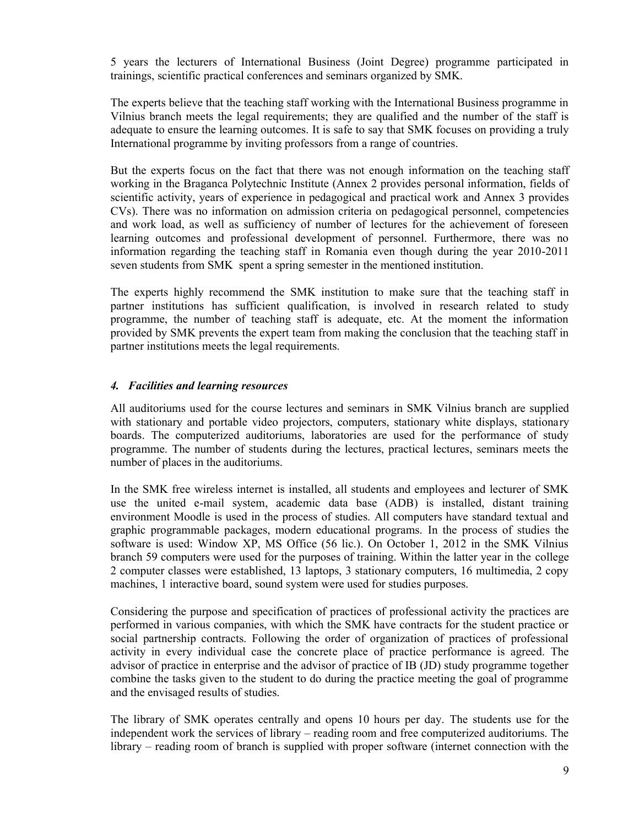5 years the lecturers of International Business (Joint Degree) programme participated in trainings, scientific practical conferences and seminars organized by SMK.

The experts believe that the teaching staff working with the International Business programme in Vilnius branch meets the legal requirements; they are qualified and the number of the staff is adequate to ensure the learning outcomes. It is safe to say that SMK focuses on providing a truly International programme by inviting professors from a range of countries.

But the experts focus on the fact that there was not enough information on the teaching staff working in the Braganca Polytechnic Institute (Annex 2 provides personal information, fields of scientific activity, years of experience in pedagogical and practical work and Annex 3 provides CVs). There was no information on admission criteria on pedagogical personnel, competencies and work load, as well as sufficiency of number of lectures for the achievement of foreseen learning outcomes and professional development of personnel. Furthermore, there was no information regarding the teaching staff in Romania even though during the year 2010-2011 seven students from SMK spent a spring semester in the mentioned institution.

The experts highly recommend the SMK institution to make sure that the teaching staff in partner institutions has sufficient qualification, is involved in research related to study programme, the number of teaching staff is adequate, etc. At the moment the information provided by SMK prevents the expert team from making the conclusion that the teaching staff in partner institutions meets the legal requirements.

#### *4. Facilities and learning resources*

All auditoriums used for the course lectures and seminars in SMK Vilnius branch are supplied with stationary and portable video projectors, computers, stationary white displays, stationary boards. The computerized auditoriums, laboratories are used for the performance of study programme. The number of students during the lectures, practical lectures, seminars meets the number of places in the auditoriums.

In the SMK free wireless internet is installed, all students and employees and lecturer of SMK use the united e-mail system, academic data base (ADB) is installed, distant training environment Moodle is used in the process of studies. All computers have standard textual and graphic programmable packages, modern educational programs. In the process of studies the software is used: Window XP, MS Office (56 lic.). On October 1, 2012 in the SMK Vilnius branch 59 computers were used for the purposes of training. Within the latter year in the college 2 computer classes were established, 13 laptops, 3 stationary computers, 16 multimedia, 2 copy machines, 1 interactive board, sound system were used for studies purposes.

Considering the purpose and specification of practices of professional activity the practices are performed in various companies, with which the SMK have contracts for the student practice or social partnership contracts. Following the order of organization of practices of professional activity in every individual case the concrete place of practice performance is agreed. The advisor of practice in enterprise and the advisor of practice of IB (JD) study programme together combine the tasks given to the student to do during the practice meeting the goal of programme and the envisaged results of studies.

The library of SMK operates centrally and opens 10 hours per day. The students use for the independent work the services of library – reading room and free computerized auditoriums. The library – reading room of branch is supplied with proper software (internet connection with the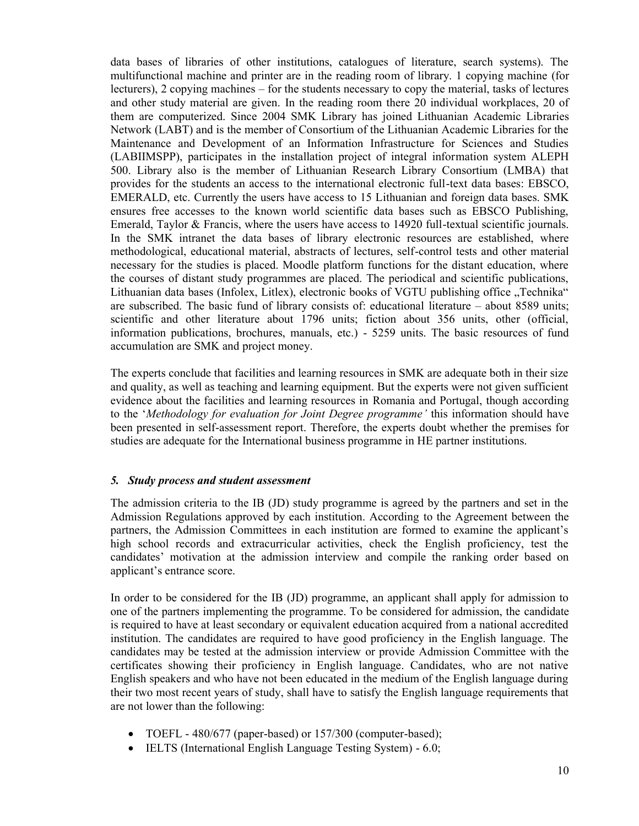data bases of libraries of other institutions, catalogues of literature, search systems). The multifunctional machine and printer are in the reading room of library. 1 copying machine (for lecturers), 2 copying machines – for the students necessary to copy the material, tasks of lectures and other study material are given. In the reading room there 20 individual workplaces, 20 of them are computerized. Since 2004 SMK Library has joined Lithuanian Academic Libraries Network (LABT) and is the member of Consortium of the Lithuanian Academic Libraries for the Maintenance and Development of an Information Infrastructure for Sciences and Studies (LABIIMSPP), participates in the installation project of integral information system ALEPH 500. Library also is the member of Lithuanian Research Library Consortium (LMBA) that provides for the students an access to the international electronic full-text data bases: EBSCO, EMERALD, etc. Currently the users have access to 15 Lithuanian and foreign data bases. SMK ensures free accesses to the known world scientific data bases such as EBSCO Publishing, Emerald, Taylor & Francis, where the users have access to 14920 full-textual scientific journals. In the SMK intranet the data bases of library electronic resources are established, where methodological, educational material, abstracts of lectures, self-control tests and other material necessary for the studies is placed. Moodle platform functions for the distant education, where the courses of distant study programmes are placed. The periodical and scientific publications, Lithuanian data bases (Infolex, Litlex), electronic books of VGTU publishing office "Technika" are subscribed. The basic fund of library consists of: educational literature – about 8589 units; scientific and other literature about 1796 units; fiction about 356 units, other (official, information publications, brochures, manuals, etc.) - 5259 units. The basic resources of fund accumulation are SMK and project money.

The experts conclude that facilities and learning resources in SMK are adequate both in their size and quality, as well as teaching and learning equipment. But the experts were not given sufficient evidence about the facilities and learning resources in Romania and Portugal, though according to the '*Methodology for evaluation for Joint Degree programme'* this information should have been presented in self-assessment report. Therefore, the experts doubt whether the premises for studies are adequate for the International business programme in HE partner institutions.

#### *5. Study process and student assessment*

The admission criteria to the IB (JD) study programme is agreed by the partners and set in the Admission Regulations approved by each institution. According to the Agreement between the partners, the Admission Committees in each institution are formed to examine the applicant's high school records and extracurricular activities, check the English proficiency, test the candidates' motivation at the admission interview and compile the ranking order based on applicant's entrance score.

In order to be considered for the IB (JD) programme, an applicant shall apply for admission to one of the partners implementing the programme. To be considered for admission, the candidate is required to have at least secondary or equivalent education acquired from a national accredited institution. The candidates are required to have good proficiency in the English language. The candidates may be tested at the admission interview or provide Admission Committee with the certificates showing their proficiency in English language. Candidates, who are not native English speakers and who have not been educated in the medium of the English language during their two most recent years of study, shall have to satisfy the English language requirements that are not lower than the following:

- TOEFL 480/677 (paper-based) or 157/300 (computer-based);
- IELTS (International English Language Testing System) 6.0;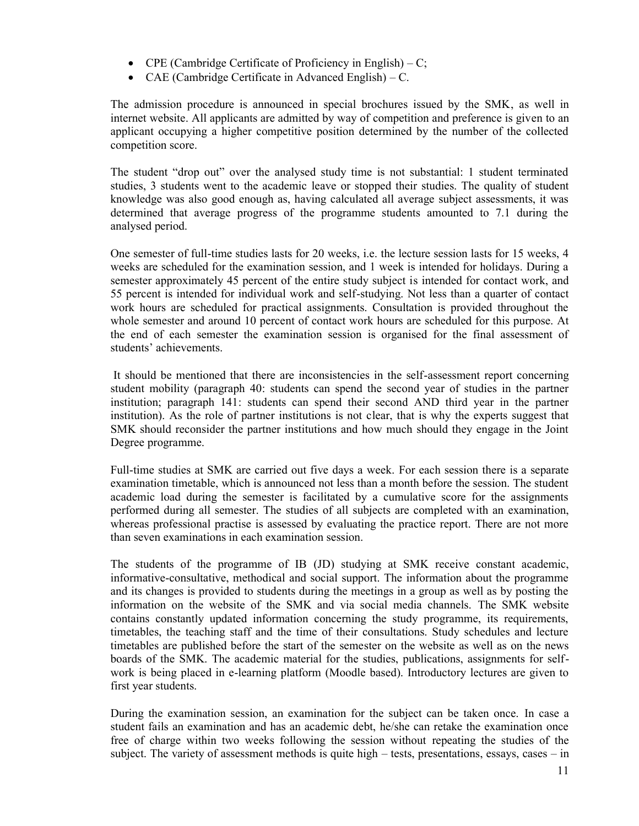- CPE (Cambridge Certificate of Proficiency in English) C;
- CAE (Cambridge Certificate in Advanced English) C.

The admission procedure is announced in special brochures issued by the SMK, as well in internet website. All applicants are admitted by way of competition and preference is given to an applicant occupying a higher competitive position determined by the number of the collected competition score.

The student "drop out" over the analysed study time is not substantial: 1 student terminated studies, 3 students went to the academic leave or stopped their studies. The quality of student knowledge was also good enough as, having calculated all average subject assessments, it was determined that average progress of the programme students amounted to 7.1 during the analysed period.

One semester of full-time studies lasts for 20 weeks, i.e. the lecture session lasts for 15 weeks, 4 weeks are scheduled for the examination session, and 1 week is intended for holidays. During a semester approximately 45 percent of the entire study subject is intended for contact work, and 55 percent is intended for individual work and self-studying. Not less than a quarter of contact work hours are scheduled for practical assignments. Consultation is provided throughout the whole semester and around 10 percent of contact work hours are scheduled for this purpose. At the end of each semester the examination session is organised for the final assessment of students' achievements.

It should be mentioned that there are inconsistencies in the self-assessment report concerning student mobility (paragraph 40: students can spend the second year of studies in the partner institution; paragraph 141: students can spend their second AND third year in the partner institution). As the role of partner institutions is not clear, that is why the experts suggest that SMK should reconsider the partner institutions and how much should they engage in the Joint Degree programme.

Full-time studies at SMK are carried out five days a week. For each session there is a separate examination timetable, which is announced not less than a month before the session. The student academic load during the semester is facilitated by a cumulative score for the assignments performed during all semester. The studies of all subjects are completed with an examination, whereas professional practise is assessed by evaluating the practice report. There are not more than seven examinations in each examination session.

The students of the programme of IB (JD) studying at SMK receive constant academic, informative-consultative, methodical and social support. The information about the programme and its changes is provided to students during the meetings in a group as well as by posting the information on the website of the SMK and via social media channels. The SMK website contains constantly updated information concerning the study programme, its requirements, timetables, the teaching staff and the time of their consultations. Study schedules and lecture timetables are published before the start of the semester on the website as well as on the news boards of the SMK. The academic material for the studies, publications, assignments for selfwork is being placed in e-learning platform (Moodle based). Introductory lectures are given to first year students.

During the examination session, an examination for the subject can be taken once. In case a student fails an examination and has an academic debt, he/she can retake the examination once free of charge within two weeks following the session without repeating the studies of the subject. The variety of assessment methods is quite high – tests, presentations, essays, cases – in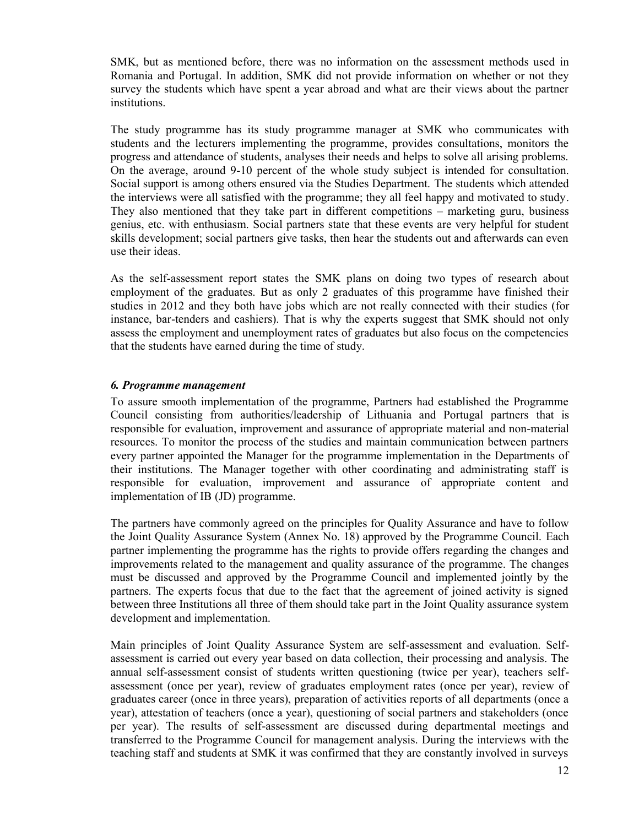SMK, but as mentioned before, there was no information on the assessment methods used in Romania and Portugal. In addition, SMK did not provide information on whether or not they survey the students which have spent a year abroad and what are their views about the partner institutions.

The study programme has its study programme manager at SMK who communicates with students and the lecturers implementing the programme, provides consultations, monitors the progress and attendance of students, analyses their needs and helps to solve all arising problems. On the average, around 9-10 percent of the whole study subject is intended for consultation. Social support is among others ensured via the Studies Department. The students which attended the interviews were all satisfied with the programme; they all feel happy and motivated to study. They also mentioned that they take part in different competitions – marketing guru, business genius, etc. with enthusiasm. Social partners state that these events are very helpful for student skills development; social partners give tasks, then hear the students out and afterwards can even use their ideas.

As the self-assessment report states the SMK plans on doing two types of research about employment of the graduates. But as only 2 graduates of this programme have finished their studies in 2012 and they both have jobs which are not really connected with their studies (for instance, bar-tenders and cashiers). That is why the experts suggest that SMK should not only assess the employment and unemployment rates of graduates but also focus on the competencies that the students have earned during the time of study.

#### *6. Programme management*

To assure smooth implementation of the programme, Partners had established the Programme Council consisting from authorities/leadership of Lithuania and Portugal partners that is responsible for evaluation, improvement and assurance of appropriate material and non-material resources. To monitor the process of the studies and maintain communication between partners every partner appointed the Manager for the programme implementation in the Departments of their institutions. The Manager together with other coordinating and administrating staff is responsible for evaluation, improvement and assurance of appropriate content and implementation of IB (JD) programme.

The partners have commonly agreed on the principles for Quality Assurance and have to follow the Joint Quality Assurance System (Annex No. 18) approved by the Programme Council. Each partner implementing the programme has the rights to provide offers regarding the changes and improvements related to the management and quality assurance of the programme. The changes must be discussed and approved by the Programme Council and implemented jointly by the partners. The experts focus that due to the fact that the agreement of joined activity is signed between three Institutions all three of them should take part in the Joint Quality assurance system development and implementation.

Main principles of Joint Quality Assurance System are self-assessment and evaluation. Selfassessment is carried out every year based on data collection, their processing and analysis. The annual self-assessment consist of students written questioning (twice per year), teachers selfassessment (once per year), review of graduates employment rates (once per year), review of graduates career (once in three years), preparation of activities reports of all departments (once a year), attestation of teachers (once a year), questioning of social partners and stakeholders (once per year). The results of self-assessment are discussed during departmental meetings and transferred to the Programme Council for management analysis. During the interviews with the teaching staff and students at SMK it was confirmed that they are constantly involved in surveys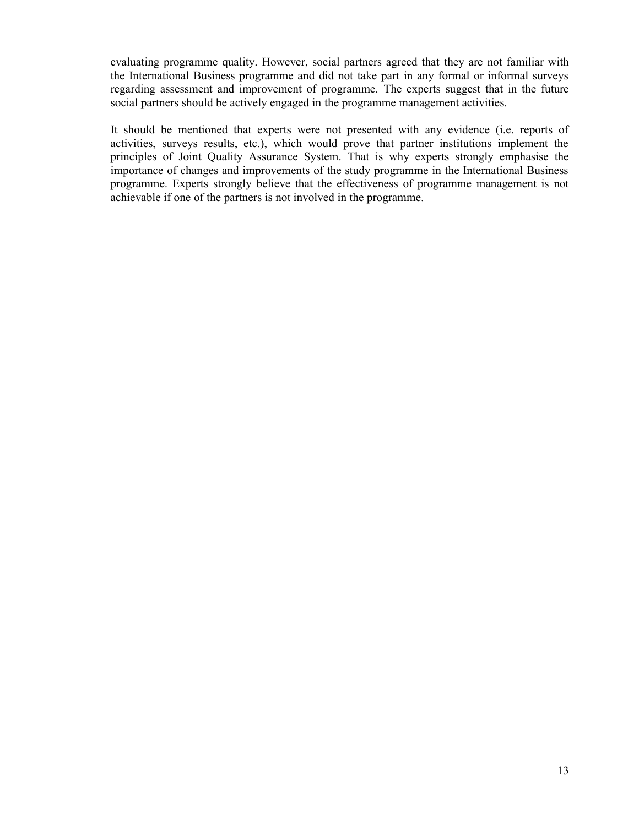evaluating programme quality. However, social partners agreed that they are not familiar with the International Business programme and did not take part in any formal or informal surveys regarding assessment and improvement of programme. The experts suggest that in the future social partners should be actively engaged in the programme management activities.

It should be mentioned that experts were not presented with any evidence (i.e. reports of activities, surveys results, etc.), which would prove that partner institutions implement the principles of Joint Quality Assurance System. That is why experts strongly emphasise the importance of changes and improvements of the study programme in the International Business programme. Experts strongly believe that the effectiveness of programme management is not achievable if one of the partners is not involved in the programme.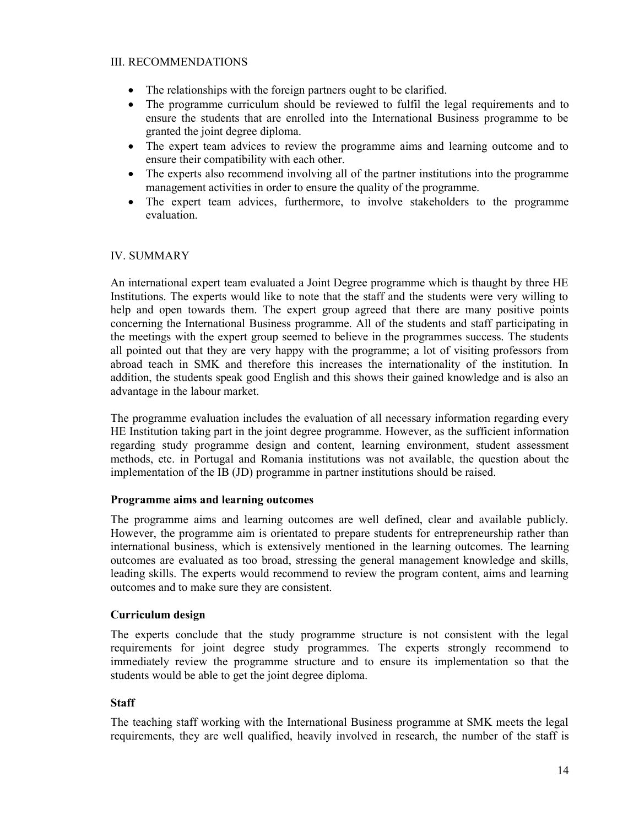#### III. RECOMMENDATIONS

- The relationships with the foreign partners ought to be clarified.
- The programme curriculum should be reviewed to fulfil the legal requirements and to ensure the students that are enrolled into the International Business programme to be granted the joint degree diploma.
- The expert team advices to review the programme aims and learning outcome and to ensure their compatibility with each other.
- The experts also recommend involving all of the partner institutions into the programme management activities in order to ensure the quality of the programme.
- The expert team advices, furthermore, to involve stakeholders to the programme evaluation.

#### IV. SUMMARY

An international expert team evaluated a Joint Degree programme which is thaught by three HE Institutions. The experts would like to note that the staff and the students were very willing to help and open towards them. The expert group agreed that there are many positive points concerning the International Business programme. All of the students and staff participating in the meetings with the expert group seemed to believe in the programmes success. The students all pointed out that they are very happy with the programme; a lot of visiting professors from abroad teach in SMK and therefore this increases the internationality of the institution. In addition, the students speak good English and this shows their gained knowledge and is also an advantage in the labour market.

The programme evaluation includes the evaluation of all necessary information regarding every HE Institution taking part in the joint degree programme. However, as the sufficient information regarding study programme design and content, learning environment, student assessment methods, etc. in Portugal and Romania institutions was not available, the question about the implementation of the IB (JD) programme in partner institutions should be raised.

#### **Programme aims and learning outcomes**

The programme aims and learning outcomes are well defined, clear and available publicly. However, the programme aim is orientated to prepare students for entrepreneurship rather than international business, which is extensively mentioned in the learning outcomes. The learning outcomes are evaluated as too broad, stressing the general management knowledge and skills, leading skills. The experts would recommend to review the program content, aims and learning outcomes and to make sure they are consistent.

#### **Curriculum design**

The experts conclude that the study programme structure is not consistent with the legal requirements for joint degree study programmes. The experts strongly recommend to immediately review the programme structure and to ensure its implementation so that the students would be able to get the joint degree diploma.

#### **Staff**

The teaching staff working with the International Business programme at SMK meets the legal requirements, they are well qualified, heavily involved in research, the number of the staff is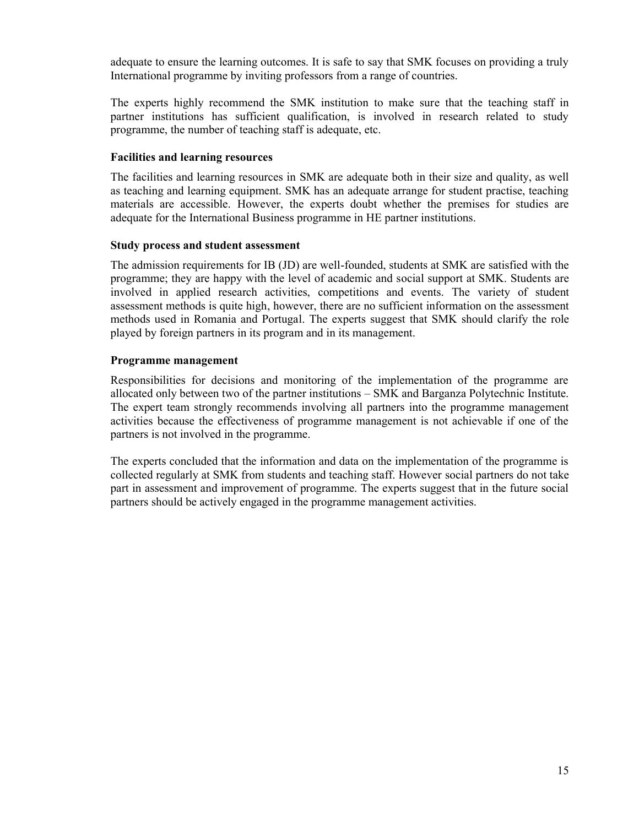adequate to ensure the learning outcomes. It is safe to say that SMK focuses on providing a truly International programme by inviting professors from a range of countries.

The experts highly recommend the SMK institution to make sure that the teaching staff in partner institutions has sufficient qualification, is involved in research related to study programme, the number of teaching staff is adequate, etc.

#### **Facilities and learning resources**

The facilities and learning resources in SMK are adequate both in their size and quality, as well as teaching and learning equipment. SMK has an adequate arrange for student practise, teaching materials are accessible. However, the experts doubt whether the premises for studies are adequate for the International Business programme in HE partner institutions.

#### **Study process and student assessment**

The admission requirements for IB (JD) are well-founded, students at SMK are satisfied with the programme; they are happy with the level of academic and social support at SMK. Students are involved in applied research activities, competitions and events. The variety of student assessment methods is quite high, however, there are no sufficient information on the assessment methods used in Romania and Portugal. The experts suggest that SMK should clarify the role played by foreign partners in its program and in its management.

#### **Programme management**

Responsibilities for decisions and monitoring of the implementation of the programme are allocated only between two of the partner institutions – SMK and Barganza Polytechnic Institute. The expert team strongly recommends involving all partners into the programme management activities because the effectiveness of programme management is not achievable if one of the partners is not involved in the programme.

The experts concluded that the information and data on the implementation of the programme is collected regularly at SMK from students and teaching staff. However social partners do not take part in assessment and improvement of programme. The experts suggest that in the future social partners should be actively engaged in the programme management activities.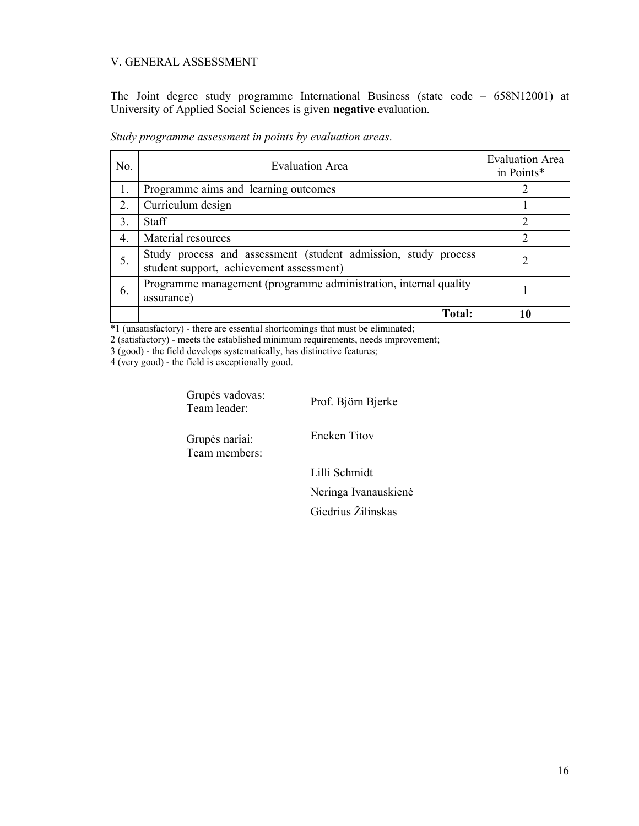#### V. GENERAL ASSESSMENT

The Joint degree study programme International Business (state code – 658N12001) at University of Applied Social Sciences is given **negative** evaluation.

| No.              | <b>Evaluation Area</b>                                                                                     | <b>Evaluation Area</b><br>in Points* |
|------------------|------------------------------------------------------------------------------------------------------------|--------------------------------------|
| 1.               | Programme aims and learning outcomes                                                                       |                                      |
| 2.               | Curriculum design                                                                                          |                                      |
| 3.               | <b>Staff</b>                                                                                               | າ                                    |
| $\overline{4}$ . | Material resources                                                                                         |                                      |
| 5.               | Study process and assessment (student admission, study process<br>student support, achievement assessment) |                                      |
| 6.               | Programme management (programme administration, internal quality<br>assurance)                             |                                      |
|                  | <b>Total:</b>                                                                                              |                                      |

*Study programme assessment in points by evaluation areas*.

\*1 (unsatisfactory) - there are essential shortcomings that must be eliminated;

2 (satisfactory) - meets the established minimum requirements, needs improvement;

3 (good) - the field develops systematically, has distinctive features;

4 (very good) - the field is exceptionally good.

Grupės vadovas:<br>Team leader:

Prof. Björn Bjerke

Grupės nariai: Team members: Eneken Titov

Lilli Schmidt Neringa Ivanauskienė Giedrius Žilinskas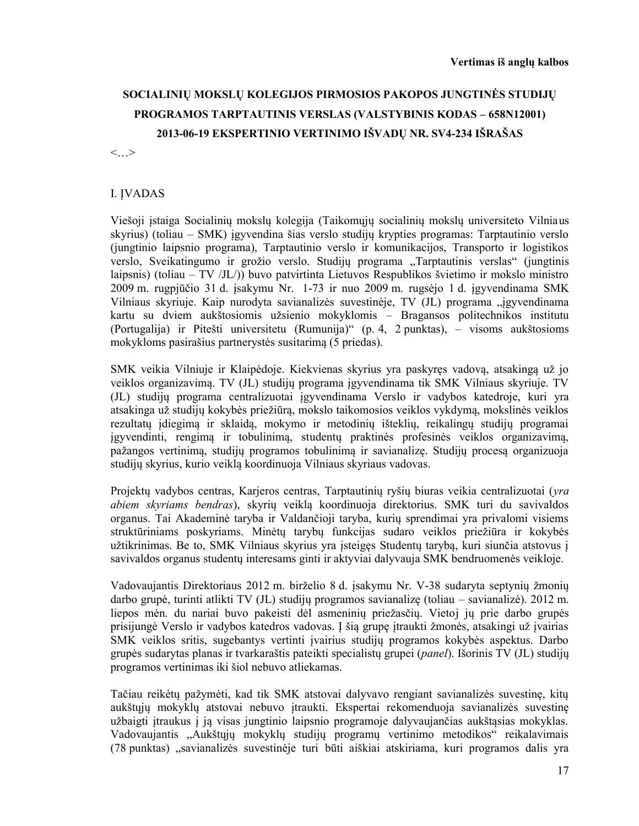# **SOCIALINIŲ MOKSLŲ KOLEGIJOS PIRMOSIOS PAKOPOS JUNGTINĖS STUDIJŲ PROGRAMOS TARPTAUTINIS VERSLAS (VALSTYBINIS KODAS – 658N12001) 2013-06-19 EKSPERTINIO VERTINIMO IŠVADŲ NR. SV4-234 IŠRAŠAS**

<…>

#### I. ĮVADAS

Viešoji įstaiga Socialinių mokslų kolegija (Taikomųjų socialinių mokslų universiteto Vilniaus skyrius) (toliau – SMK) įgyvendina šias verslo studijų krypties programas: Tarptautinio verslo (jungtinio laipsnio programa), Tarptautinio verslo ir komunikacijos, Transporto ir logistikos verslo, Sveikatingumo ir grožio verslo. Studijų programa "Tarptautinis verslas" (jungtinis laipsnis) (toliau – TV /JL/)) buvo patvirtinta Lietuvos Respublikos švietimo ir mokslo ministro 2009 m. rugpjūčio 31 d. įsakymu Nr. 1-73 ir nuo 2009 m. rugsėjo 1 d. įgyvendinama SMK Vilniaus skyriuje. Kaip nurodyta savianalizės suvestinėje, TV (JL) programa "įgyvendinama kartu su dviem aukštosiomis užsienio mokyklomis – Bragansos politechnikos institutu (Portugalija) ir Pitešti universitetu (Rumunija)" (p. 4, 2 punktas), – visoms aukštosioms mokykloms pasirašius partnerystės susitarimą (5 priedas).

SMK veikia Vilniuje ir Klaipėdoje. Kiekvienas skyrius yra paskyręs vadovą, atsakingą už jo veiklos organizavimą. TV (JL) studijų programa įgyvendinama tik SMK Vilniaus skyriuje. TV (JL) studijų programa centralizuotai įgyvendinama Verslo ir vadybos katedroje, kuri yra atsakinga už studijų kokybės priežiūrą, mokslo taikomosios veiklos vykdymą, mokslinės veiklos rezultatų įdiegimą ir sklaidą, mokymo ir metodinių išteklių, reikalingų studijų programai įgyvendinti, rengimą ir tobulinimą, studentų praktinės profesinės veiklos organizavimą, pažangos vertinimą, studijų programos tobulinimą ir savianalizę. Studijų procesą organizuoja studijų skyrius, kurio veiklą koordinuoja Vilniaus skyriaus vadovas.

Projektų vadybos centras, Karjeros centras, Tarptautinių ryšių biuras veikia centralizuotai (*yra abiem skyriams bendras*), skyrių veiklą koordinuoja direktorius. SMK turi du savivaldos organus. Tai Akademinė taryba ir Valdančioji taryba, kurių sprendimai yra privalomi visiems struktūriniams poskyriams. Minėtų tarybų funkcijas sudaro veiklos priežiūra ir kokybės užtikrinimas. Be to, SMK Vilniaus skyrius yra įsteigęs Studentų tarybą, kuri siunčia atstovus į savivaldos organus studentų interesams ginti ir aktyviai dalyvauja SMK bendruomenės veikloje.

Vadovaujantis Direktoriaus 2012 m. birželio 8 d. įsakymu Nr. V-38 sudaryta septynių žmonių darbo grupė, turinti atlikti TV (JL) studijų programos savianalizę (toliau – savianalizė). 2012 m. liepos mėn. du nariai buvo pakeisti dėl asmeninių priežasčių. Vietoj jų prie darbo grupės prisijungė Verslo ir vadybos katedros vadovas. Į šią grupę įtraukti žmonės, atsakingi už įvairias SMK veiklos sritis, sugebantys vertinti įvairius studijų programos kokybės aspektus. Darbo grupės sudarytas planas ir tvarkaraštis pateikti specialistų grupei (*panel*). Išorinis TV (JL) studijų programos vertinimas iki šiol nebuvo atliekamas.

Tačiau reikėtų pažymėti, kad tik SMK atstovai dalyvavo rengiant savianalizės suvestinę, kitų aukštųjų mokyklų atstovai nebuvo įtraukti. Ekspertai rekomenduoja savianalizės suvestinę užbaigti įtraukus į ją visas jungtinio laipsnio programoje dalyvaujančias aukštąsias mokyklas. Vadovaujantis "Aukštųjų mokyklų studijų programų vertinimo metodikos" reikalavimais (78 punktas) "savianalizės suvestinėje turi būti aiškiai atskiriama, kuri programos dalis yra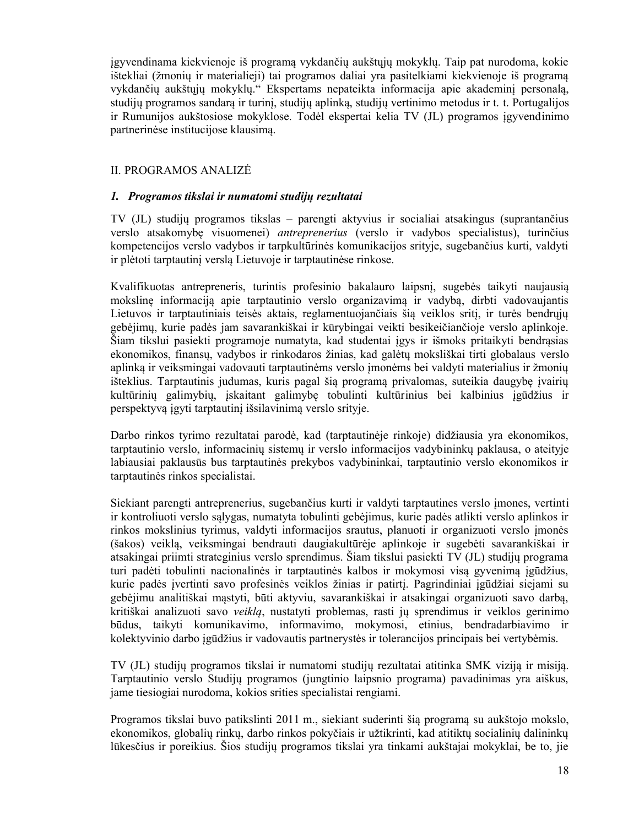įgyvendinama kiekvienoje iš programą vykdančių aukštųjų mokyklų. Taip pat nurodoma, kokie ištekliai (žmonių ir materialieji) tai programos daliai yra pasitelkiami kiekvienoje iš programą vykdančių aukštųjų mokyklų." Ekspertams nepateikta informacija apie akademinį personalą, studijų programos sandarą ir turinį, studijų aplinką, studijų vertinimo metodus ir t. t. Portugalijos ir Rumunijos aukštosiose mokyklose. Todėl ekspertai kelia TV (JL) programos įgyvendinimo partnerinėse institucijose klausimą.

#### II. PROGRAMOS ANALIZĖ

#### *1. Programos tikslai ir numatomi studijų rezultatai*

TV (JL) studijų programos tikslas – parengti aktyvius ir socialiai atsakingus (suprantančius verslo atsakomybę visuomenei) *antreprenerius* (verslo ir vadybos specialistus), turinčius kompetencijos verslo vadybos ir tarpkultūrinės komunikacijos srityje, sugebančius kurti, valdyti ir plėtoti tarptautinį verslą Lietuvoje ir tarptautinėse rinkose.

Kvalifikuotas antrepreneris, turintis profesinio bakalauro laipsnį, sugebės taikyti naujausią mokslinę informaciją apie tarptautinio verslo organizavimą ir vadybą, dirbti vadovaujantis Lietuvos ir tarptautiniais teisės aktais, reglamentuojančiais šią veiklos sritį, ir turės bendrųjų gebėjimų, kurie padės jam savarankiškai ir kūrybingai veikti besikeičiančioje verslo aplinkoje. Šiam tikslui pasiekti programoje numatyta, kad studentai įgys ir išmoks pritaikyti bendrąsias ekonomikos, finansų, vadybos ir rinkodaros žinias, kad galėtų moksliškai tirti globalaus verslo aplinką ir veiksmingai vadovauti tarptautinėms verslo įmonėms bei valdyti materialius ir žmonių išteklius. Tarptautinis judumas, kuris pagal šią programą privalomas, suteikia daugybę įvairių kultūrinių galimybių, įskaitant galimybę tobulinti kultūrinius bei kalbinius įgūdžius ir perspektyvą įgyti tarptautinį išsilavinimą verslo srityje.

Darbo rinkos tyrimo rezultatai parodė, kad (tarptautinėje rinkoje) didžiausia yra ekonomikos, tarptautinio verslo, informacinių sistemų ir verslo informacijos vadybininkų paklausa, o ateityje labiausiai paklausūs bus tarptautinės prekybos vadybininkai, tarptautinio verslo ekonomikos ir tarptautinės rinkos specialistai.

Siekiant parengti antreprenerius, sugebančius kurti ir valdyti tarptautines verslo įmones, vertinti ir kontroliuoti verslo sąlygas, numatyta tobulinti gebėjimus, kurie padės atlikti verslo aplinkos ir rinkos mokslinius tyrimus, valdyti informacijos srautus, planuoti ir organizuoti verslo įmonės (šakos) veiklą, veiksmingai bendrauti daugiakultūrėje aplinkoje ir sugebėti savarankiškai ir atsakingai priimti strateginius verslo sprendimus. Šiam tikslui pasiekti TV (JL) studijų programa turi padėti tobulinti nacionalinės ir tarptautinės kalbos ir mokymosi visą gyvenimą įgūdžius, kurie padės įvertinti savo profesinės veiklos žinias ir patirtį. Pagrindiniai įgūdžiai siejami su gebėjimu analitiškai mąstyti, būti aktyviu, savarankiškai ir atsakingai organizuoti savo darbą, kritiškai analizuoti savo *veiklą*, nustatyti problemas, rasti jų sprendimus ir veiklos gerinimo būdus, taikyti komunikavimo, informavimo, mokymosi, etinius, bendradarbiavimo ir kolektyvinio darbo įgūdžius ir vadovautis partnerystės ir tolerancijos principais bei vertybėmis.

TV (JL) studijų programos tikslai ir numatomi studijų rezultatai atitinka SMK viziją ir misiją. Tarptautinio verslo Studijų programos (jungtinio laipsnio programa) pavadinimas yra aiškus, jame tiesiogiai nurodoma, kokios srities specialistai rengiami.

Programos tikslai buvo patikslinti 2011 m., siekiant suderinti šią programą su aukštojo mokslo, ekonomikos, globalių rinkų, darbo rinkos pokyčiais ir užtikrinti, kad atitiktų socialinių dalininkų lūkesčius ir poreikius. Šios studijų programos tikslai yra tinkami aukštajai mokyklai, be to, jie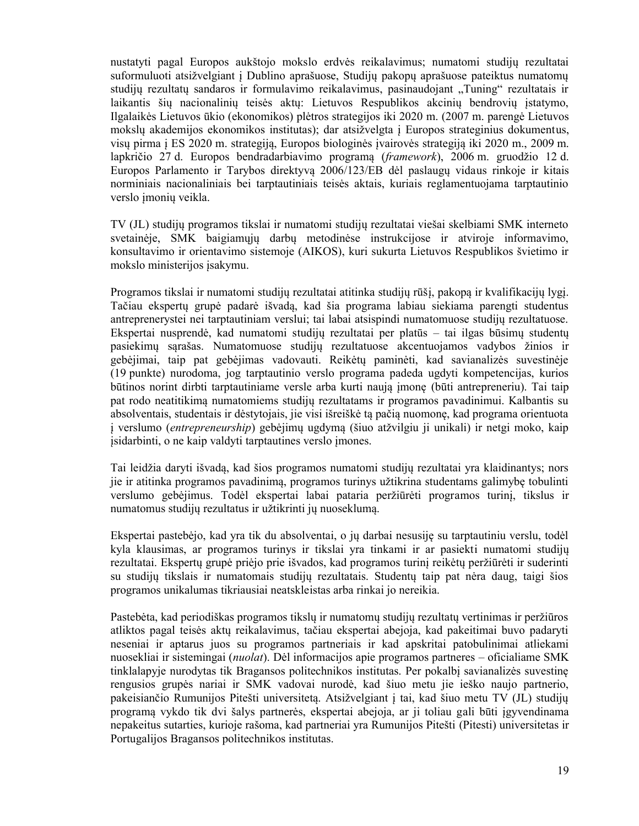nustatyti pagal Europos aukštojo mokslo erdvės reikalavimus; numatomi studijų rezultatai suformuluoti atsižvelgiant į Dublino aprašuose, Studijų pakopų aprašuose pateiktus numatomų studijų rezultatų sandaros ir formulavimo reikalavimus, pasinaudojant "Tuning" rezultatais ir laikantis šių nacionalinių teisės aktų: Lietuvos Respublikos akcinių bendrovių įstatymo, Ilgalaikės Lietuvos ūkio (ekonomikos) plėtros strategijos iki 2020 m. (2007 m. parengė Lietuvos mokslų akademijos ekonomikos institutas); dar atsižvelgta į Europos strateginius dokumentus, visų pirma į ES 2020 m. strategiją, Europos biologinės įvairovės strategiją iki 2020 m., 2009 m. lapkričio 27 d. Europos bendradarbiavimo programą (*framework*), 2006 m. gruodžio 12 d. Europos Parlamento ir Tarybos direktyvą 2006/123/EB dėl paslaugų vidaus rinkoje ir kitais norminiais nacionaliniais bei tarptautiniais teisės aktais, kuriais reglamentuojama tarptautinio verslo įmonių veikla.

TV (JL) studijų programos tikslai ir numatomi studijų rezultatai viešai skelbiami SMK interneto svetainėje, SMK baigiamųjų darbų metodinėse instrukcijose ir atviroje informavimo, konsultavimo ir orientavimo sistemoje (AIKOS), kuri sukurta Lietuvos Respublikos švietimo ir mokslo ministerijos įsakymu.

Programos tikslai ir numatomi studijų rezultatai atitinka studijų rūšį, pakopą ir kvalifikacijų lygį. Tačiau ekspertų grupė padarė išvadą, kad šia programa labiau siekiama parengti studentus antreprenerystei nei tarptautiniam verslui; tai labai atsispindi numatomuose studijų rezultatuose. Ekspertai nusprendė, kad numatomi studijų rezultatai per platūs – tai ilgas būsimų studentų pasiekimų sąrašas. Numatomuose studijų rezultatuose akcentuojamos vadybos žinios ir gebėjimai, taip pat gebėjimas vadovauti. Reikėtų paminėti, kad savianalizės suvestinėje (19 punkte) nurodoma, jog tarptautinio verslo programa padeda ugdyti kompetencijas, kurios būtinos norint dirbti tarptautiniame versle arba kurti naują įmonę (būti antrepreneriu). Tai taip pat rodo neatitikimą numatomiems studijų rezultatams ir programos pavadinimui. Kalbantis su absolventais, studentais ir dėstytojais, jie visi išreiškė tą pačią nuomonę, kad programa orientuota į verslumo (*entrepreneurship*) gebėjimų ugdymą (šiuo atžvilgiu ji unikali) ir netgi moko, kaip įsidarbinti, o ne kaip valdyti tarptautines verslo įmones.

Tai leidžia daryti išvadą, kad šios programos numatomi studijų rezultatai yra klaidinantys; nors jie ir atitinka programos pavadinimą, programos turinys užtikrina studentams galimybę tobulinti verslumo gebėjimus. Todėl ekspertai labai pataria peržiūrėti programos turinį, tikslus ir numatomus studijų rezultatus ir užtikrinti jų nuoseklumą.

Ekspertai pastebėjo, kad yra tik du absolventai, o jų darbai nesusiję su tarptautiniu verslu, todėl kyla klausimas, ar programos turinys ir tikslai yra tinkami ir ar pasiekti numatomi studijų rezultatai. Ekspertų grupė priėjo prie išvados, kad programos turinį reikėtų peržiūrėti ir suderinti su studijų tikslais ir numatomais studijų rezultatais. Studentų taip pat nėra daug, taigi šios programos unikalumas tikriausiai neatskleistas arba rinkai jo nereikia.

Pastebėta, kad periodiškas programos tikslų ir numatomų studijų rezultatų vertinimas ir peržiūros atliktos pagal teisės aktų reikalavimus, tačiau ekspertai abejoja, kad pakeitimai buvo padaryti neseniai ir aptarus juos su programos partneriais ir kad apskritai patobulinimai atliekami nuosekliai ir sistemingai (*nuolat*). Dėl informacijos apie programos partneres – oficialiame SMK tinklalapyje nurodytas tik Bragansos politechnikos institutas. Per pokalbį savianalizės suvestinę rengusios grupės nariai ir SMK vadovai nurodė, kad šiuo metu jie ieško naujo partnerio, pakeisiančio Rumunijos Pitešti universitetą. Atsižvelgiant į tai, kad šiuo metu TV (JL) studijų programą vykdo tik dvi šalys partnerės, ekspertai abejoja, ar ji toliau gali būti įgyvendinama nepakeitus sutarties, kurioje rašoma, kad partneriai yra Rumunijos Pitešti (Pitesti) universitetas ir Portugalijos Bragansos politechnikos institutas.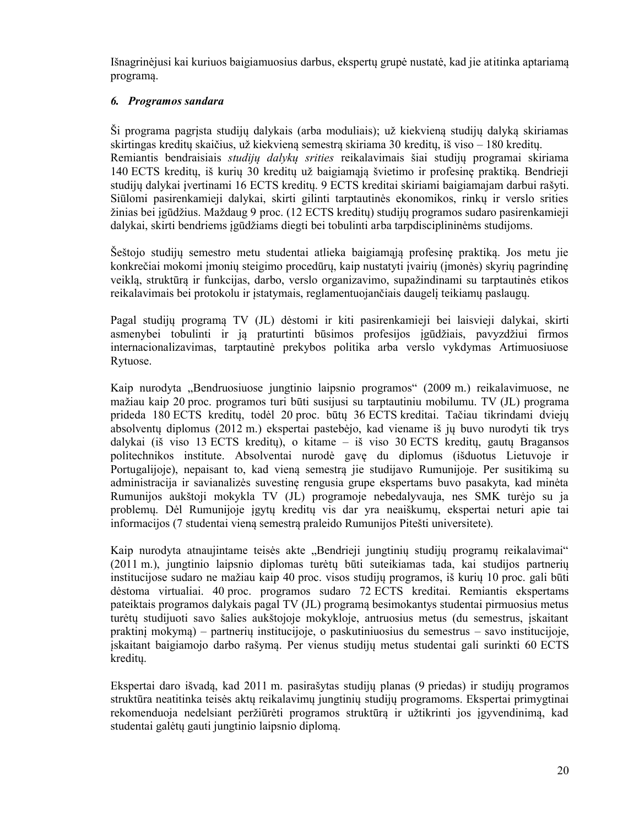Išnagrinėjusi kai kuriuos baigiamuosius darbus, ekspertų grupė nustatė, kad jie atitinka aptariamą programą.

#### *6. Programos sandara*

Ši programa pagrįsta studijų dalykais (arba moduliais); už kiekvieną studijų dalyką skiriamas skirtingas kreditų skaičius, už kiekvieną semestrą skiriama 30 kreditų, iš viso – 180 kreditų. Remiantis bendraisiais *studijų dalykų srities* reikalavimais šiai studijų programai skiriama 140 ECTS kreditų, iš kurių 30 kreditų už baigiamąją švietimo ir profesinę praktiką. Bendrieji studijų dalykai įvertinami 16 ECTS kreditų. 9 ECTS kreditai skiriami baigiamajam darbui rašyti. Siūlomi pasirenkamieji dalykai, skirti gilinti tarptautinės ekonomikos, rinkų ir verslo srities žinias bei įgūdžius. Maždaug 9 proc. (12 ECTS kreditų) studijų programos sudaro pasirenkamieji dalykai, skirti bendriems įgūdžiams diegti bei tobulinti arba tarpdisciplininėms studijoms.

Šeštojo studijų semestro metu studentai atlieka baigiamąją profesinę praktiką. Jos metu jie konkrečiai mokomi įmonių steigimo procedūrų, kaip nustatyti įvairių (įmonės) skyrių pagrindinę veiklą, struktūrą ir funkcijas, darbo, verslo organizavimo, supažindinami su tarptautinės etikos reikalavimais bei protokolu ir įstatymais, reglamentuojančiais daugelį teikiamų paslaugų.

Pagal studijų programą TV (JL) dėstomi ir kiti pasirenkamieji bei laisvieji dalykai, skirti asmenybei tobulinti ir ją praturtinti būsimos profesijos įgūdžiais, pavyzdžiui firmos internacionalizavimas, tarptautinė prekybos politika arba verslo vykdymas Artimuosiuose Rytuose.

Kaip nurodyta "Bendruosiuose jungtinio laipsnio programos" (2009 m.) reikalavimuose, ne mažiau kaip 20 proc. programos turi būti susijusi su tarptautiniu mobilumu. TV (JL) programa prideda 180 ECTS kreditų, todėl 20 proc. būtų 36 ECTS kreditai. Tačiau tikrindami dviejų absolventų diplomus (2012 m.) ekspertai pastebėjo, kad viename iš jų buvo nurodyti tik trys dalykai (iš viso 13 ECTS kreditų), o kitame – iš viso 30 ECTS kreditų, gautų Bragansos politechnikos institute. Absolventai nurodė gavę du diplomus (išduotus Lietuvoje ir Portugalijoje), nepaisant to, kad vieną semestrą jie studijavo Rumunijoje. Per susitikimą su administracija ir savianalizės suvestinę rengusia grupe ekspertams buvo pasakyta, kad minėta Rumunijos aukštoji mokykla TV (JL) programoje nebedalyvauja, nes SMK turėjo su ja problemų. Dėl Rumunijoje įgytų kreditų vis dar yra neaiškumų, ekspertai neturi apie tai informacijos (7 studentai vieną semestrą praleido Rumunijos Pitešti universitete).

Kaip nurodyta atnaujintame teisės akte "Bendrieji jungtinių studijų programų reikalavimai" (2011 m.), jungtinio laipsnio diplomas turėtų būti suteikiamas tada, kai studijos partnerių institucijose sudaro ne mažiau kaip 40 proc. visos studijų programos, iš kurių 10 proc. gali būti dėstoma virtualiai. 40 proc. programos sudaro 72 ECTS kreditai. Remiantis ekspertams pateiktais programos dalykais pagal TV (JL) programą besimokantys studentai pirmuosius metus turėtų studijuoti savo šalies aukštojoje mokykloje, antruosius metus (du semestrus, įskaitant praktinį mokymą) – partnerių institucijoje, o paskutiniuosius du semestrus – savo institucijoje, įskaitant baigiamojo darbo rašymą. Per vienus studijų metus studentai gali surinkti 60 ECTS kreditų.

Ekspertai daro išvadą, kad 2011 m. pasirašytas studijų planas (9 priedas) ir studijų programos struktūra neatitinka teisės aktų reikalavimų jungtinių studijų programoms. Ekspertai primygtinai rekomenduoja nedelsiant peržiūrėti programos struktūrą ir užtikrinti jos įgyvendinimą, kad studentai galėtų gauti jungtinio laipsnio diplomą.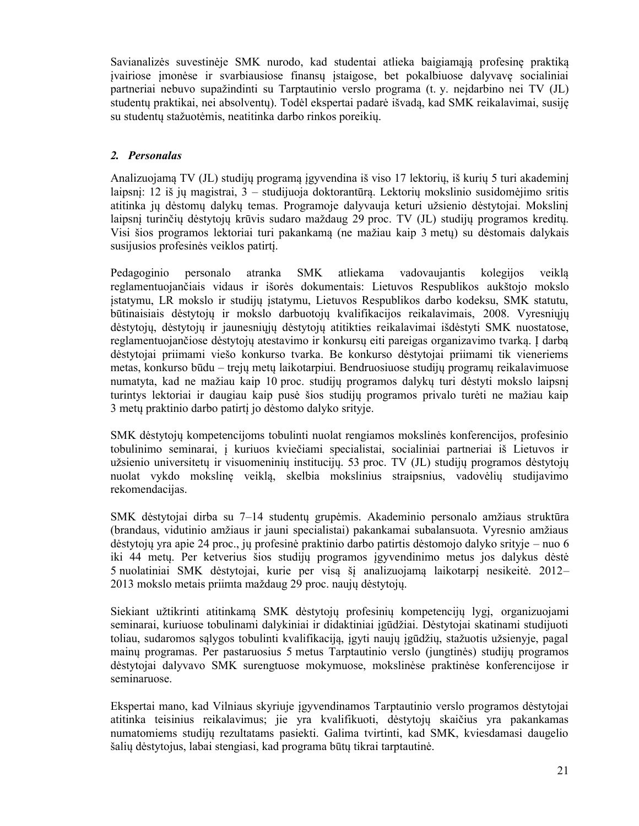Savianalizės suvestinėje SMK nurodo, kad studentai atlieka baigiamąją profesinę praktiką įvairiose įmonėse ir svarbiausiose finansų įstaigose, bet pokalbiuose dalyvavę socialiniai partneriai nebuvo supažindinti su Tarptautinio verslo programa (t. y. neįdarbino nei TV (JL) studentų praktikai, nei absolventų). Todėl ekspertai padarė išvadą, kad SMK reikalavimai, susiję su studentų stažuotėmis, neatitinka darbo rinkos poreikių.

#### *2. Personalas*

Analizuojamą TV (JL) studijų programą įgyvendina iš viso 17 lektorių, iš kurių 5 turi akademinį laipsnį: 12 iš jų magistrai, 3 – studijuoja doktorantūrą. Lektorių mokslinio susidomėjimo sritis atitinka jų dėstomų dalykų temas. Programoje dalyvauja keturi užsienio dėstytojai. Mokslinį laipsnį turinčių dėstytojų krūvis sudaro maždaug 29 proc. TV (JL) studijų programos kreditų. Visi šios programos lektoriai turi pakankamą (ne mažiau kaip 3 metų) su dėstomais dalykais susijusios profesinės veiklos patirtį.

Pedagoginio personalo atranka SMK atliekama vadovaujantis kolegijos veiklą reglamentuojančiais vidaus ir išorės dokumentais: Lietuvos Respublikos aukštojo mokslo įstatymu, LR mokslo ir studijų įstatymu, Lietuvos Respublikos darbo kodeksu, SMK statutu, būtinaisiais dėstytojų ir mokslo darbuotojų kvalifikacijos reikalavimais, 2008. Vyresniųjų dėstytojų, dėstytojų ir jaunesniųjų dėstytojų atitikties reikalavimai išdėstyti SMK nuostatose, reglamentuojančiose dėstytojų atestavimo ir konkursų eiti pareigas organizavimo tvarką. Į darbą dėstytojai priimami viešo konkurso tvarka. Be konkurso dėstytojai priimami tik vieneriems metas, konkurso būdu – trejų metų laikotarpiui. Bendruosiuose studijų programų reikalavimuose numatyta, kad ne mažiau kaip 10 proc. studijų programos dalykų turi dėstyti mokslo laipsnį turintys lektoriai ir daugiau kaip pusė šios studijų programos privalo turėti ne mažiau kaip 3 metų praktinio darbo patirtį jo dėstomo dalyko srityje.

SMK dėstytojų kompetencijoms tobulinti nuolat rengiamos mokslinės konferencijos, profesinio tobulinimo seminarai, į kuriuos kviečiami specialistai, socialiniai partneriai iš Lietuvos ir užsienio universitetų ir visuomeninių institucijų. 53 proc. TV (JL) studijų programos dėstytojų nuolat vykdo mokslinę veiklą, skelbia mokslinius straipsnius, vadovėlių studijavimo rekomendacijas.

SMK dėstytojai dirba su 7–14 studentų grupėmis. Akademinio personalo amžiaus struktūra (brandaus, vidutinio amžiaus ir jauni specialistai) pakankamai subalansuota. Vyresnio amžiaus dėstytojų yra apie 24 proc., jų profesinė praktinio darbo patirtis dėstomojo dalyko srityje – nuo 6 iki 44 metų. Per ketverius šios studijų programos įgyvendinimo metus jos dalykus dėstė 5 nuolatiniai SMK dėstytojai, kurie per visą šį analizuojamą laikotarpį nesikeitė. 2012– 2013 mokslo metais priimta maždaug 29 proc. naujų dėstytojų.

Siekiant užtikrinti atitinkamą SMK dėstytojų profesinių kompetencijų lygį, organizuojami seminarai, kuriuose tobulinami dalykiniai ir didaktiniai įgūdžiai. Dėstytojai skatinami studijuoti toliau, sudaromos sąlygos tobulinti kvalifikaciją, įgyti naujų įgūdžių, stažuotis užsienyje, pagal mainų programas. Per pastaruosius 5 metus Tarptautinio verslo (jungtinės) studijų programos dėstytojai dalyvavo SMK surengtuose mokymuose, mokslinėse praktinėse konferencijose ir seminaruose.

Ekspertai mano, kad Vilniaus skyriuje įgyvendinamos Tarptautinio verslo programos dėstytojai atitinka teisinius reikalavimus; jie yra kvalifikuoti, dėstytojų skaičius yra pakankamas numatomiems studijų rezultatams pasiekti. Galima tvirtinti, kad SMK, kviesdamasi daugelio šalių dėstytojus, labai stengiasi, kad programa būtų tikrai tarptautinė.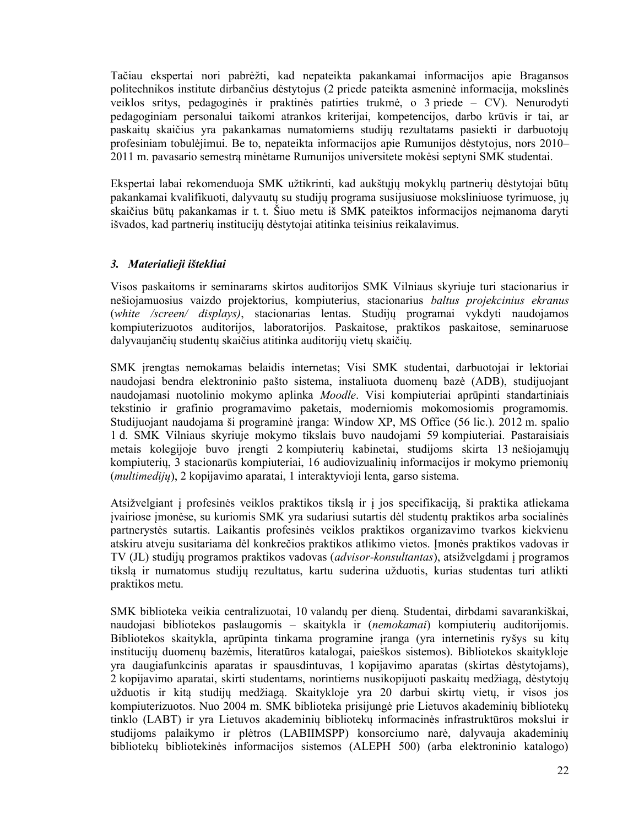Tačiau ekspertai nori pabrėžti, kad nepateikta pakankamai informacijos apie Bragansos politechnikos institute dirbančius dėstytojus (2 priede pateikta asmeninė informacija, mokslinės veiklos sritys, pedagoginės ir praktinės patirties trukmė, o 3 priede – CV). Nenurodyti pedagoginiam personalui taikomi atrankos kriterijai, kompetencijos, darbo krūvis ir tai, ar paskaitų skaičius yra pakankamas numatomiems studijų rezultatams pasiekti ir darbuotojų profesiniam tobulėjimui. Be to, nepateikta informacijos apie Rumunijos dėstytojus, nors 2010– 2011 m. pavasario semestrą minėtame Rumunijos universitete mokėsi septyni SMK studentai.

Ekspertai labai rekomenduoja SMK užtikrinti, kad aukštųjų mokyklų partnerių dėstytojai būtų pakankamai kvalifikuoti, dalyvautų su studijų programa susijusiuose moksliniuose tyrimuose, jų skaičius būtų pakankamas ir t. t. Šiuo metu iš SMK pateiktos informacijos neįmanoma daryti išvados, kad partnerių institucijų dėstytojai atitinka teisinius reikalavimus.

#### *3. Materialieji ištekliai*

Visos paskaitoms ir seminarams skirtos auditorijos SMK Vilniaus skyriuje turi stacionarius ir nešiojamuosius vaizdo projektorius, kompiuterius, stacionarius *baltus projekcinius ekranus* (*white /screen/ displays)*, stacionarias lentas. Studijų programai vykdyti naudojamos kompiuterizuotos auditorijos, laboratorijos. Paskaitose, praktikos paskaitose, seminaruose dalyvaujančių studentų skaičius atitinka auditorijų vietų skaičių.

SMK įrengtas nemokamas belaidis internetas; Visi SMK studentai, darbuotojai ir lektoriai naudojasi bendra elektroninio pašto sistema, instaliuota duomenų bazė (ADB), studijuojant naudojamasi nuotolinio mokymo aplinka *Moodle*. Visi kompiuteriai aprūpinti standartiniais tekstinio ir grafinio programavimo paketais, moderniomis mokomosiomis programomis. Studijuojant naudojama ši programinė įranga: Window XP, MS Office (56 lic.). 2012 m. spalio 1 d. SMK Vilniaus skyriuje mokymo tikslais buvo naudojami 59 kompiuteriai. Pastaraisiais metais kolegijoje buvo įrengti 2 kompiuterių kabinetai, studijoms skirta 13 nešiojamųjų kompiuterių, 3 stacionarūs kompiuteriai, 16 audiovizualinių informacijos ir mokymo priemonių (*multimedijų*), 2 kopijavimo aparatai, 1 interaktyvioji lenta, garso sistema.

Atsižvelgiant į profesinės veiklos praktikos tikslą ir į jos specifikaciją, ši praktika atliekama įvairiose įmonėse, su kuriomis SMK yra sudariusi sutartis dėl studentų praktikos arba socialinės partnerystės sutartis. Laikantis profesinės veiklos praktikos organizavimo tvarkos kiekvienu atskiru atveju susitariama dėl konkrečios praktikos atlikimo vietos. Įmonės praktikos vadovas ir TV (JL) studijų programos praktikos vadovas (*advisor-konsultantas*), atsižvelgdami į programos tikslą ir numatomus studijų rezultatus, kartu suderina užduotis, kurias studentas turi atlikti praktikos metu.

SMK biblioteka veikia centralizuotai, 10 valandų per dieną. Studentai, dirbdami savarankiškai, naudojasi bibliotekos paslaugomis – skaitykla ir (*nemokamai*) kompiuterių auditorijomis. Bibliotekos skaitykla, aprūpinta tinkama programine įranga (yra internetinis ryšys su kitų institucijų duomenų bazėmis, literatūros katalogai, paieškos sistemos). Bibliotekos skaitykloje yra daugiafunkcinis aparatas ir spausdintuvas, 1 kopijavimo aparatas (skirtas dėstytojams), 2 kopijavimo aparatai, skirti studentams, norintiems nusikopijuoti paskaitų medžiagą, dėstytojų užduotis ir kitą studijų medžiagą. Skaitykloje yra 20 darbui skirtų vietų, ir visos jos kompiuterizuotos. Nuo 2004 m. SMK biblioteka prisijungė prie Lietuvos akademinių bibliotekų tinklo (LABT) ir yra Lietuvos akademinių bibliotekų informacinės infrastruktūros mokslui ir studijoms palaikymo ir plėtros (LABIIMSPP) konsorciumo narė, dalyvauja akademinių bibliotekų bibliotekinės informacijos sistemos (ALEPH 500) (arba elektroninio katalogo)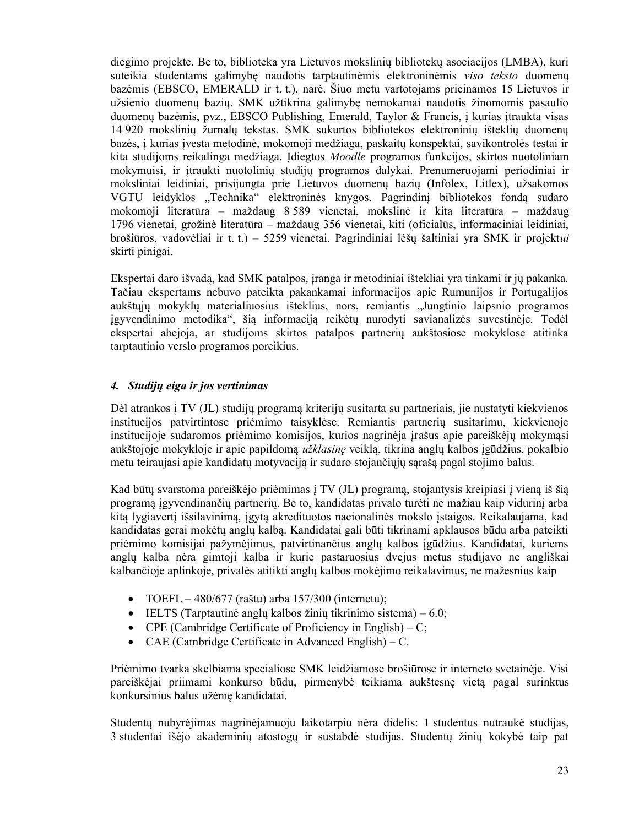diegimo projekte. Be to, biblioteka yra Lietuvos mokslinių bibliotekų asociacijos (LMBA), kuri suteikia studentams galimybę naudotis tarptautinėmis elektroninėmis *viso teksto* duomenų bazėmis (EBSCO, EMERALD ir t. t.), narė. Šiuo metu vartotojams prieinamos 15 Lietuvos ir užsienio duomenų bazių. SMK užtikrina galimybę nemokamai naudotis žinomomis pasaulio duomenų bazėmis, pvz., EBSCO Publishing, Emerald, Taylor & Francis, į kurias įtraukta visas 14 920 mokslinių žurnalų tekstas. SMK sukurtos bibliotekos elektroninių išteklių duomenų bazės, į kurias įvesta metodinė, mokomoji medžiaga, paskaitų konspektai, savikontrolės testai ir kita studijoms reikalinga medžiaga. Įdiegtos *Moodle* programos funkcijos, skirtos nuotoliniam mokymuisi, ir įtraukti nuotolinių studijų programos dalykai. Prenumeruojami periodiniai ir moksliniai leidiniai, prisijungta prie Lietuvos duomenų bazių (Infolex, Litlex), užsakomos VGTU leidyklos "Technika" elektroninės knygos. Pagrindinį bibliotekos fondą sudaro mokomoji literatūra – maždaug 8 589 vienetai, mokslinė ir kita literatūra – maždaug 1796 vienetai, grožinė literatūra – maždaug 356 vienetai, kiti (oficialūs, informaciniai leidiniai, brošiūros, vadovėliai ir t. t.) – 5259 vienetai. Pagrindiniai lėšų šaltiniai yra SMK ir projekt*ui* skirti pinigai.

Ekspertai daro išvadą, kad SMK patalpos, įranga ir metodiniai ištekliai yra tinkami ir jų pakanka. Tačiau ekspertams nebuvo pateikta pakankamai informacijos apie Rumunijos ir Portugalijos aukštųjų mokyklų materialiuosius išteklius, nors, remiantis "Jungtinio laipsnio programos įgyvendinimo metodika", šią informaciją reikėtų nurodyti savianalizės suvestinėje. Todėl ekspertai abejoja, ar studijoms skirtos patalpos partnerių aukštosiose mokyklose atitinka tarptautinio verslo programos poreikius.

#### *4. Studijų eiga ir jos vertinimas*

Dėl atrankos į TV (JL) studijų programą kriterijų susitarta su partneriais, jie nustatyti kiekvienos institucijos patvirtintose priėmimo taisyklėse. Remiantis partnerių susitarimu, kiekvienoje institucijoje sudaromos priėmimo komisijos, kurios nagrinėja įrašus apie pareiškėjų mokymąsi aukštojoje mokykloje ir apie papildomą *užklasinę* veiklą, tikrina anglų kalbos įgūdžius, pokalbio metu teiraujasi apie kandidatų motyvaciją ir sudaro stojančiųjų sąrašą pagal stojimo balus.

Kad būtų svarstoma pareiškėjo priėmimas į TV (JL) programą, stojantysis kreipiasi į vieną iš šią programą įgyvendinančių partnerių. Be to, kandidatas privalo turėti ne mažiau kaip vidurinį arba kitą lygiavertį išsilavinimą, įgytą akredituotos nacionalinės mokslo įstaigos. Reikalaujama, kad kandidatas gerai mokėtų anglų kalbą. Kandidatai gali būti tikrinami apklausos būdu arba pateikti priėmimo komisijai pažymėjimus, patvirtinančius anglų kalbos įgūdžius. Kandidatai, kuriems anglų kalba nėra gimtoji kalba ir kurie pastaruosius dvejus metus studijavo ne angliškai kalbančioje aplinkoje, privalės atitikti anglų kalbos mokėjimo reikalavimus, ne mažesnius kaip

- $\bullet$  TOEFL 480/677 (raštu) arba 157/300 (internetu);
- $\bullet$  IELTS (Tarptautinė anglų kalbos žinių tikrinimo sistema) 6.0;
- CPE (Cambridge Certificate of Proficiency in English) C;
- CAE (Cambridge Certificate in Advanced English) C.

Priėmimo tvarka skelbiama specialiose SMK leidžiamose brošiūrose ir interneto svetainėje. Visi pareiškėjai priimami konkurso būdu, pirmenybė teikiama aukštesnę vietą pagal surinktus konkursinius balus užėmę kandidatai.

Studentų nubyrėjimas nagrinėjamuoju laikotarpiu nėra didelis: 1 studentus nutraukė studijas, 3 studentai išėjo akademinių atostogų ir sustabdė studijas. Studentų žinių kokybė taip pat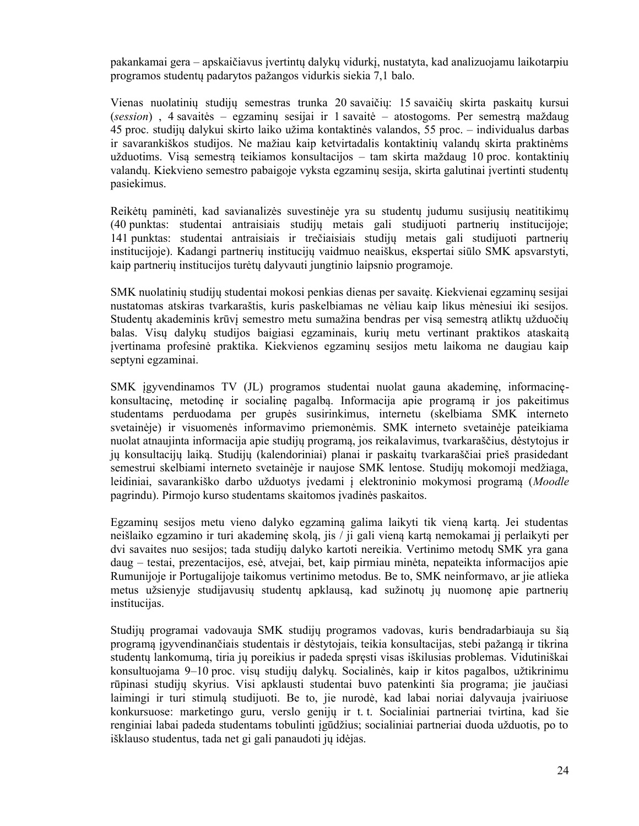pakankamai gera – apskaičiavus įvertintų dalykų vidurkį, nustatyta, kad analizuojamu laikotarpiu programos studentų padarytos pažangos vidurkis siekia 7,1 balo.

Vienas nuolatinių studijų semestras trunka 20 savaičių: 15 savaičių skirta paskaitų kursui (*session*) , 4 savaitės – egzaminų sesijai ir 1 savaitė – atostogoms. Per semestrą maždaug 45 proc. studijų dalykui skirto laiko užima kontaktinės valandos, 55 proc. – individualus darbas ir savarankiškos studijos. Ne mažiau kaip ketvirtadalis kontaktinių valandų skirta praktinėms užduotims. Visą semestrą teikiamos konsultacijos – tam skirta maždaug 10 proc. kontaktinių valandų. Kiekvieno semestro pabaigoje vyksta egzaminų sesija, skirta galutinai įvertinti studentų pasiekimus.

Reikėtų paminėti, kad savianalizės suvestinėje yra su studentų judumu susijusių neatitikimų (40 punktas: studentai antraisiais studijų metais gali studijuoti partnerių institucijoje; 141 punktas: studentai antraisiais ir trečiaisiais studijų metais gali studijuoti partnerių institucijoje). Kadangi partnerių institucijų vaidmuo neaiškus, ekspertai siūlo SMK apsvarstyti, kaip partnerių institucijos turėtų dalyvauti jungtinio laipsnio programoje.

SMK nuolatinių studijų studentai mokosi penkias dienas per savaitę. Kiekvienai egzaminų sesijai nustatomas atskiras tvarkaraštis, kuris paskelbiamas ne vėliau kaip likus mėnesiui iki sesijos. Studentų akademinis krūvį semestro metu sumažina bendras per visą semestrą atliktų užduočių balas. Visų dalykų studijos baigiasi egzaminais, kurių metu vertinant praktikos ataskaitą įvertinama profesinė praktika. Kiekvienos egzaminų sesijos metu laikoma ne daugiau kaip septyni egzaminai.

SMK įgyvendinamos TV (JL) programos studentai nuolat gauna akademinę, informacinękonsultacinę, metodinę ir socialinę pagalbą. Informacija apie programą ir jos pakeitimus studentams perduodama per grupės susirinkimus, internetu (skelbiama SMK interneto svetainėje) ir visuomenės informavimo priemonėmis. SMK interneto svetainėje pateikiama nuolat atnaujinta informacija apie studijų programą, jos reikalavimus, tvarkaraščius, dėstytojus ir jų konsultacijų laiką. Studijų (kalendoriniai) planai ir paskaitų tvarkaraščiai prieš prasidedant semestrui skelbiami interneto svetainėje ir naujose SMK lentose. Studijų mokomoji medžiaga, leidiniai, savarankiško darbo užduotys įvedami į elektroninio mokymosi programą (*Moodle* pagrindu). Pirmojo kurso studentams skaitomos įvadinės paskaitos.

Egzaminų sesijos metu vieno dalyko egzaminą galima laikyti tik vieną kartą. Jei studentas neišlaiko egzamino ir turi akademinę skolą, jis / ji gali vieną kartą nemokamai jį perlaikyti per dvi savaites nuo sesijos; tada studijų dalyko kartoti nereikia. Vertinimo metodų SMK yra gana daug – testai, prezentacijos, esė, atvejai, bet, kaip pirmiau minėta, nepateikta informacijos apie Rumunijoje ir Portugalijoje taikomus vertinimo metodus. Be to, SMK neinformavo, ar jie atlieka metus užsienyje studijavusių studentų apklausą, kad sužinotų jų nuomonę apie partnerių institucijas.

Studijų programai vadovauja SMK studijų programos vadovas, kuris bendradarbiauja su šią programą įgyvendinančiais studentais ir dėstytojais, teikia konsultacijas, stebi pažangą ir tikrina studentų lankomumą, tiria jų poreikius ir padeda spręsti visas iškilusias problemas. Vidutiniškai konsultuojama 9–10 proc. visų studijų dalykų. Socialinės, kaip ir kitos pagalbos, užtikrinimu rūpinasi studijų skyrius. Visi apklausti studentai buvo patenkinti šia programa; jie jaučiasi laimingi ir turi stimulą studijuoti. Be to, jie nurodė, kad labai noriai dalyvauja įvairiuose konkursuose: marketingo guru, verslo genijų ir t. t. Socialiniai partneriai tvirtina, kad šie renginiai labai padeda studentams tobulinti įgūdžius; socialiniai partneriai duoda užduotis, po to išklauso studentus, tada net gi gali panaudoti jų idėjas.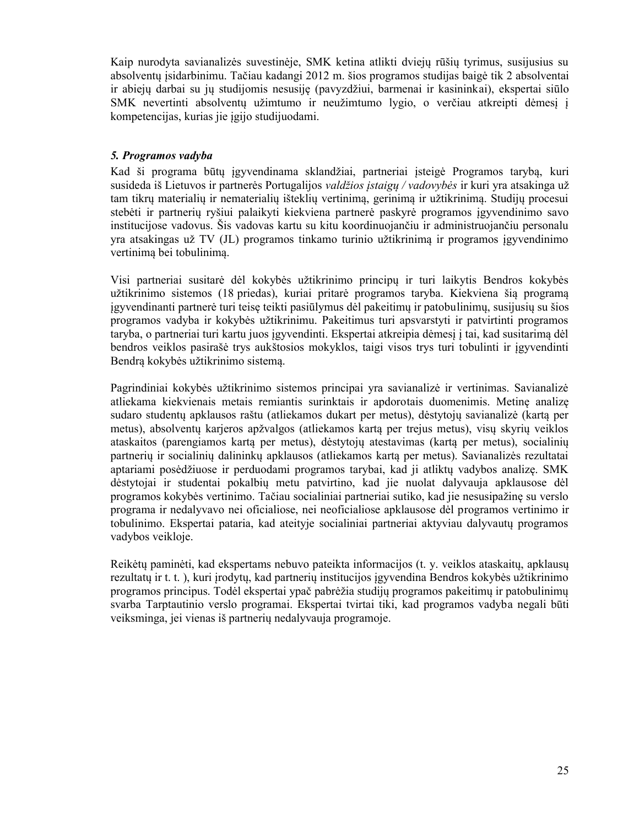Kaip nurodyta savianalizės suvestinėje, SMK ketina atlikti dviejų rūšių tyrimus, susijusius su absolventų įsidarbinimu. Tačiau kadangi 2012 m. šios programos studijas baigė tik 2 absolventai ir abiejų darbai su jų studijomis nesusiję (pavyzdžiui, barmenai ir kasininkai), ekspertai siūlo SMK nevertinti absolventų užimtumo ir neužimtumo lygio, o verčiau atkreipti dėmesį į kompetencijas, kurias jie įgijo studijuodami.

#### *5. Programos vadyba*

Kad ši programa būtų įgyvendinama sklandžiai, partneriai įsteigė Programos tarybą, kuri susideda iš Lietuvos ir partnerės Portugalijos *valdžios įstaigų / vadovybės* ir kuri yra atsakinga už tam tikrų materialių ir nematerialių išteklių vertinimą, gerinimą ir užtikrinimą. Studijų procesui stebėti ir partnerių ryšiui palaikyti kiekviena partnerė paskyrė programos įgyvendinimo savo institucijose vadovus. Šis vadovas kartu su kitu koordinuojančiu ir administruojančiu personalu yra atsakingas už TV (JL) programos tinkamo turinio užtikrinimą ir programos įgyvendinimo vertinimą bei tobulinimą.

Visi partneriai susitarė dėl kokybės užtikrinimo principų ir turi laikytis Bendros kokybės užtikrinimo sistemos (18 priedas), kuriai pritarė programos taryba. Kiekviena šią programą įgyvendinanti partnerė turi teisę teikti pasiūlymus dėl pakeitimų ir patobulinimų, susijusių su šios programos vadyba ir kokybės užtikrinimu. Pakeitimus turi apsvarstyti ir patvirtinti programos taryba, o partneriai turi kartu juos įgyvendinti. Ekspertai atkreipia dėmesį į tai, kad susitarimą dėl bendros veiklos pasirašė trys aukštosios mokyklos, taigi visos trys turi tobulinti ir įgyvendinti Bendrą kokybės užtikrinimo sistemą.

Pagrindiniai kokybės užtikrinimo sistemos principai yra savianalizė ir vertinimas. Savianalizė atliekama kiekvienais metais remiantis surinktais ir apdorotais duomenimis. Metinę analizę sudaro studentų apklausos raštu (atliekamos dukart per metus), dėstytojų savianalizė (kartą per metus), absolventų karjeros apžvalgos (atliekamos kartą per trejus metus), visų skyrių veiklos ataskaitos (parengiamos kartą per metus), dėstytojų atestavimas (kartą per metus), socialinių partnerių ir socialinių dalininkų apklausos (atliekamos kartą per metus). Savianalizės rezultatai aptariami posėdžiuose ir perduodami programos tarybai, kad ji atliktų vadybos analizę. SMK dėstytojai ir studentai pokalbių metu patvirtino, kad jie nuolat dalyvauja apklausose dėl programos kokybės vertinimo. Tačiau socialiniai partneriai sutiko, kad jie nesusipažinę su verslo programa ir nedalyvavo nei oficialiose, nei neoficialiose apklausose dėl programos vertinimo ir tobulinimo. Ekspertai pataria, kad ateityje socialiniai partneriai aktyviau dalyvautų programos vadybos veikloje.

Reikėtų paminėti, kad ekspertams nebuvo pateikta informacijos (t. y. veiklos ataskaitų, apklausų rezultatų ir t. t. ), kuri įrodytų, kad partnerių institucijos įgyvendina Bendros kokybės užtikrinimo programos principus. Todėl ekspertai ypač pabrėžia studijų programos pakeitimų ir patobulinimų svarba Tarptautinio verslo programai. Ekspertai tvirtai tiki, kad programos vadyba negali būti veiksminga, jei vienas iš partnerių nedalyvauja programoje.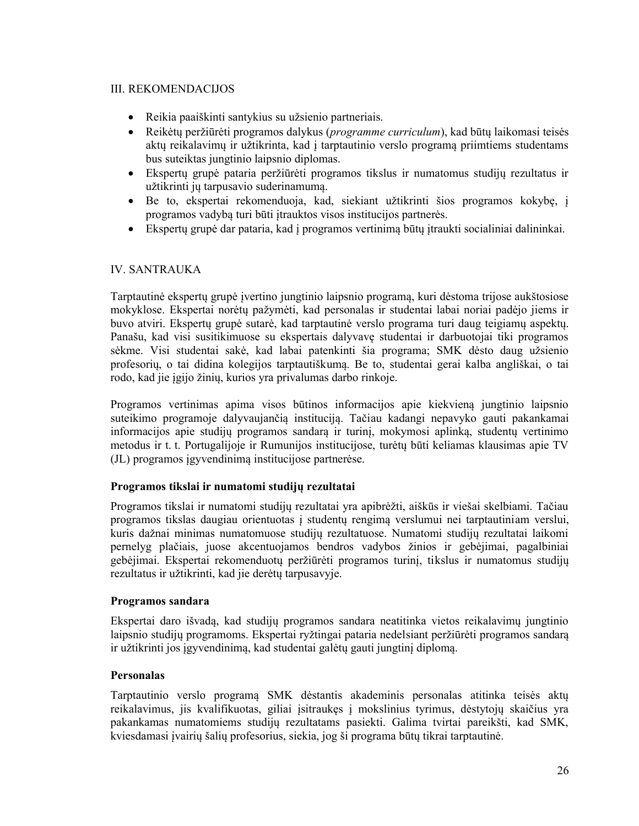#### III. REKOMENDACIJOS

- Reikia paaiškinti santykius su užsienio partneriais.
- Reikėtų peržiūrėti programos dalykus (*programme curriculum*), kad būtų laikomasi teisės aktų reikalavimų ir užtikrinta, kad į tarptautinio verslo programą priimtiems studentams bus suteiktas jungtinio laipsnio diplomas.
- Ekspertų grupė pataria peržiūrėti programos tikslus ir numatomus studijų rezultatus ir užtikrinti jų tarpusavio suderinamumą.
- Be to, ekspertai rekomenduoja, kad, siekiant užtikrinti šios programos kokybę, į programos vadybą turi būti įtrauktos visos institucijos partnerės.
- Ekspertų grupė dar pataria, kad į programos vertinimą būtų įtraukti socialiniai dalininkai.

#### IV. SANTRAUKA

Tarptautinė ekspertų grupė įvertino jungtinio laipsnio programą, kuri dėstoma trijose aukštosiose mokyklose. Ekspertai norėtų pažymėti, kad personalas ir studentai labai noriai padėjo jiems ir buvo atviri. Ekspertų grupė sutarė, kad tarptautinė verslo programa turi daug teigiamų aspektų. Panašu, kad visi susitikimuose su ekspertais dalyvavę studentai ir darbuotojai tiki programos sėkme. Visi studentai sakė, kad labai patenkinti šia programa; SMK dėsto daug užsienio profesorių, o tai didina kolegijos tarptautiškumą. Be to, studentai gerai kalba angliškai, o tai rodo, kad jie įgijo žinių, kurios yra privalumas darbo rinkoje.

Programos vertinimas apima visos būtinos informacijos apie kiekvieną jungtinio laipsnio suteikimo programoje dalyvaujančią instituciją. Tačiau kadangi nepavyko gauti pakankamai informacijos apie studijų programos sandarą ir turinį, mokymosi aplinką, studentų vertinimo metodus ir t. t. Portugalijoje ir Rumunijos institucijose, turėtų būti keliamas klausimas apie TV (JL) programos įgyvendinimą institucijose partnerėse.

#### **Programos tikslai ir numatomi studijų rezultatai**

Programos tikslai ir numatomi studijų rezultatai yra apibrėžti, aiškūs ir viešai skelbiami. Tačiau programos tikslas daugiau orientuotas į studentų rengimą verslumui nei tarptautiniam verslui, kuris dažnai minimas numatomuose studijų rezultatuose. Numatomi studijų rezultatai laikomi pernelyg plačiais, juose akcentuojamos bendros vadybos žinios ir gebėjimai, pagalbiniai gebėjimai. Ekspertai rekomenduotų peržiūrėti programos turinį, tikslus ir numatomus studijų rezultatus ir užtikrinti, kad jie derėtų tarpusavyje.

#### **Programos sandara**

Ekspertai daro išvadą, kad studijų programos sandara neatitinka vietos reikalavimų jungtinio laipsnio studijų programoms. Ekspertai ryžtingai pataria nedelsiant peržiūrėti programos sandarą ir užtikrinti jos įgyvendinimą, kad studentai galėtų gauti jungtinį diplomą.

#### **Personalas**

Tarptautinio verslo programą SMK dėstantis akademinis personalas atitinka teisės aktų reikalavimus, jis kvalifikuotas, giliai įsitraukęs į mokslinius tyrimus, dėstytojų skaičius yra pakankamas numatomiems studijų rezultatams pasiekti. Galima tvirtai pareikšti, kad SMK, kviesdamasi įvairių šalių profesorius, siekia, jog ši programa būtų tikrai tarptautinė.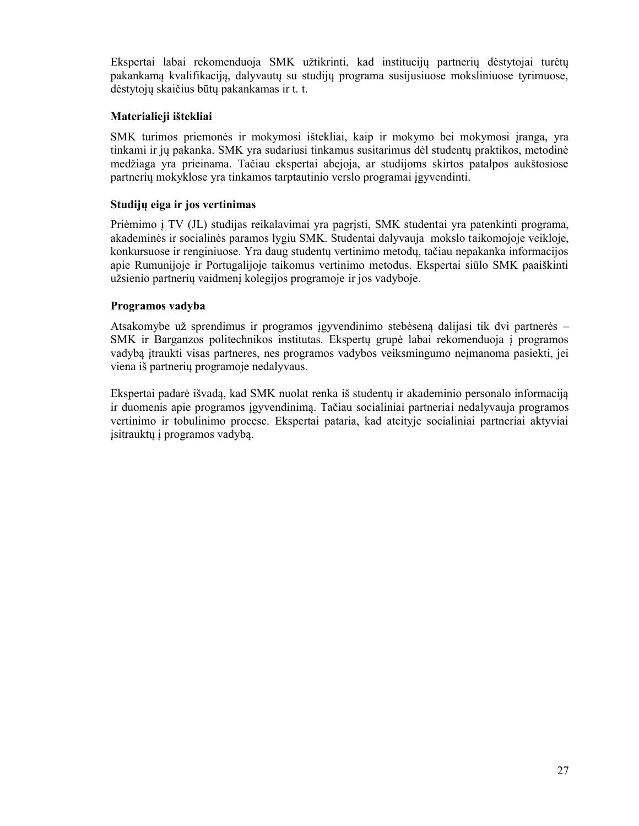Ekspertai labai rekomenduoja SMK užtikrinti, kad institucijų partnerių dėstytojai turėtų pakankamą kvalifikaciją, dalyvautų su studijų programa susijusiuose moksliniuose tyrimuose, dėstytojų skaičius būtų pakankamas ir t. t.

#### **Materialieji ištekliai**

SMK turimos priemonės ir mokymosi ištekliai, kaip ir mokymo bei mokymosi įranga, yra tinkami ir jų pakanka. SMK yra sudariusi tinkamus susitarimus dėl studentų praktikos, metodinė medžiaga yra prieinama. Tačiau ekspertai abejoja, ar studijoms skirtos patalpos aukštosiose partnerių mokyklose yra tinkamos tarptautinio verslo programai įgyvendinti.

#### **Studijų eiga ir jos vertinimas**

Priėmimo į TV (JL) studijas reikalavimai yra pagrįsti, SMK studentai yra patenkinti programa, akademinės ir socialinės paramos lygiu SMK. Studentai dalyvauja mokslo taikomojoje veikloje, konkursuose ir renginiuose. Yra daug studentų vertinimo metodų, tačiau nepakanka informacijos apie Rumunijoje ir Portugalijoje taikomus vertinimo metodus. Ekspertai siūlo SMK paaiškinti užsienio partnerių vaidmenį kolegijos programoje ir jos vadyboje.

#### **Programos vadyba**

Atsakomybe už sprendimus ir programos įgyvendinimo stebėseną dalijasi tik dvi partnerės – SMK ir Barganzos politechnikos institutas. Ekspertų grupė labai rekomenduoja į programos vadybą įtraukti visas partneres, nes programos vadybos veiksmingumo neįmanoma pasiekti, jei viena iš partnerių programoje nedalyvaus.

Ekspertai padarė išvadą, kad SMK nuolat renka iš studentų ir akademinio personalo informaciją ir duomenis apie programos įgyvendinimą. Tačiau socialiniai partneriai nedalyvauja programos vertinimo ir tobulinimo procese. Ekspertai pataria, kad ateityje socialiniai partneriai aktyviai įsitrauktų į programos vadybą.